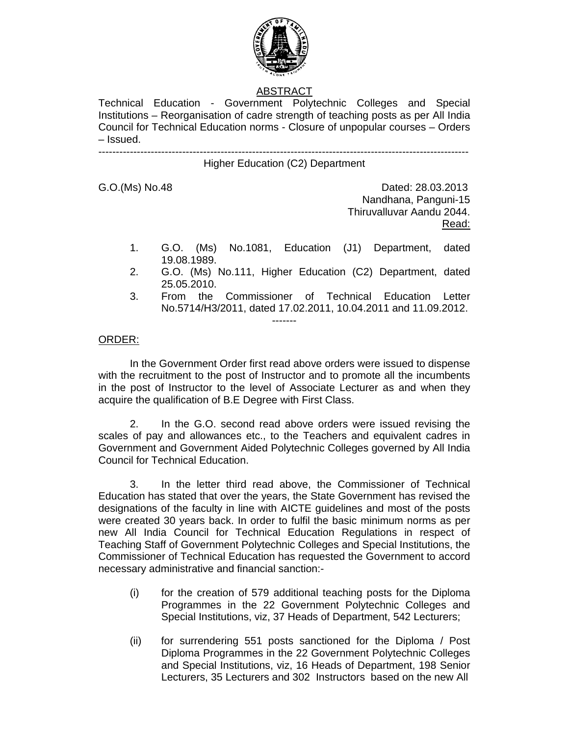

# ABSTRACT

Technical Education - Government Polytechnic Colleges and Special Institutions – Reorganisation of cadre strength of teaching posts as per All India Council for Technical Education norms - Closure of unpopular courses – Orders – Issued. ----------------------------------------------------------------------------------------------------------

## Higher Education (C2) Department

G.O.(Ms) No.48 Dated: 28.03.2013 Nandhana, Panguni-15 Thiruvalluvar Aandu 2044. Read:

- 1. G.O. (Ms) No.1081, Education (J1) Department, dated 19.08.1989.
- 2. G.O. (Ms) No.111, Higher Education (C2) Department, dated 25.05.2010.
- 3. From the Commissioner of Technical Education Letter No.5714/H3/2011, dated 17.02.2011, 10.04.2011 and 11.09.2012.

### ORDER:

In the Government Order first read above orders were issued to dispense with the recruitment to the post of Instructor and to promote all the incumbents in the post of Instructor to the level of Associate Lecturer as and when they acquire the qualification of B.E Degree with First Class.

-------

2. In the G.O. second read above orders were issued revising the scales of pay and allowances etc., to the Teachers and equivalent cadres in Government and Government Aided Polytechnic Colleges governed by All India Council for Technical Education.

 3. In the letter third read above, the Commissioner of Technical Education has stated that over the years, the State Government has revised the designations of the faculty in line with AICTE guidelines and most of the posts were created 30 years back. In order to fulfil the basic minimum norms as per new All India Council for Technical Education Regulations in respect of Teaching Staff of Government Polytechnic Colleges and Special Institutions, the Commissioner of Technical Education has requested the Government to accord necessary administrative and financial sanction:-

- (i) for the creation of 579 additional teaching posts for the Diploma Programmes in the 22 Government Polytechnic Colleges and Special Institutions, viz, 37 Heads of Department, 542 Lecturers;
- (ii) for surrendering 551 posts sanctioned for the Diploma / Post Diploma Programmes in the 22 Government Polytechnic Colleges and Special Institutions, viz, 16 Heads of Department, 198 Senior Lecturers, 35 Lecturers and 302 Instructors based on the new All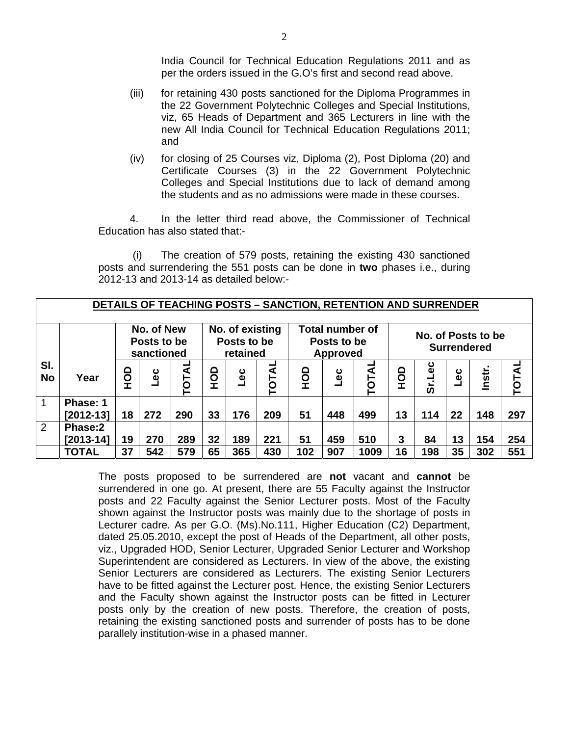India Council for Technical Education Regulations 2011 and as per the orders issued in the G.O's first and second read above.

- (iii) for retaining 430 posts sanctioned for the Diploma Programmes in the 22 Government Polytechnic Colleges and Special Institutions, viz, 65 Heads of Department and 365 Lecturers in line with the new All India Council for Technical Education Regulations 2011; and
- (iv) for closing of 25 Courses viz, Diploma (2), Post Diploma (20) and Certificate Courses (3) in the 22 Government Polytechnic Colleges and Special Institutions due to lack of demand among the students and as no admissions were made in these courses.

4. In the letter third read above, the Commissioner of Technical Education has also stated that:-

 (i) The creation of 579 posts, retaining the existing 430 sanctioned posts and surrendering the 551 posts can be done in **two** phases i.e., during 2012-13 and 2013-14 as detailed below:-

|                  | <b>DETAILS OF TEACHING POSTS - SANCTION, RETENTION AND SURRENDER</b><br>No. of New<br>No. of existing<br><b>Total number of</b> |        |                               |     |    |                         |             |     |                                |       |                        |                    |                    |        |              |
|------------------|---------------------------------------------------------------------------------------------------------------------------------|--------|-------------------------------|-----|----|-------------------------|-------------|-----|--------------------------------|-------|------------------------|--------------------|--------------------|--------|--------------|
|                  |                                                                                                                                 |        | Posts to be                   |     |    | Posts to be<br>retained |             |     | Posts to be<br><b>Approved</b> |       |                        | No. of Posts to be | <b>Surrendered</b> |        |              |
| SI.<br><b>No</b> | Year                                                                                                                            | О<br>Э | sanctioned<br>TOTAL<br>ں<br>ا |     |    | ں<br>ا                  | ৰ<br>Ō<br>⊢ | OHO | ပို့                           | TOTAI | $\mathbf{\Omega}$<br>요 | မိ<br>ഗ            | မို                | Instr. | <b>TOTAI</b> |
| $\overline{1}$   | Phase: 1                                                                                                                        |        |                               |     |    |                         |             |     |                                |       |                        |                    |                    |        |              |
|                  | $[2012-13]$                                                                                                                     | 18     | 272                           | 290 | 33 | 176                     | 209         | 51  | 448                            | 499   | 13                     | 114                | 22                 | 148    | 297          |
| 2                | Phase:2                                                                                                                         |        |                               |     |    |                         |             |     |                                |       |                        |                    |                    |        |              |
|                  | $[2013 - 14]$                                                                                                                   | 19     | 270                           | 289 | 32 | 189                     | 221         | 51  | 459                            | 510   | 3                      | 84                 | 13                 | 154    | 254          |
|                  | <b>TOTAL</b>                                                                                                                    | 37     | 542                           | 579 | 65 | 365                     | 430         | 102 | 907                            | 1009  | 16                     | 198                | 35                 | 302    | 551          |

The posts proposed to be surrendered are **not** vacant and **cannot** be surrendered in one go. At present, there are 55 Faculty against the Instructor posts and 22 Faculty against the Senior Lecturer posts. Most of the Faculty shown against the Instructor posts was mainly due to the shortage of posts in Lecturer cadre. As per G.O. (Ms).No.111, Higher Education (C2) Department, dated 25.05.2010, except the post of Heads of the Department, all other posts, viz., Upgraded HOD, Senior Lecturer, Upgraded Senior Lecturer and Workshop Superintendent are considered as Lecturers. In view of the above, the existing Senior Lecturers are considered as Lecturers. The existing Senior Lecturers have to be fitted against the Lecturer post. Hence, the existing Senior Lecturers and the Faculty shown against the Instructor posts can be fitted in Lecturer posts only by the creation of new posts. Therefore, the creation of posts, retaining the existing sanctioned posts and surrender of posts has to be done parallely institution-wise in a phased manner.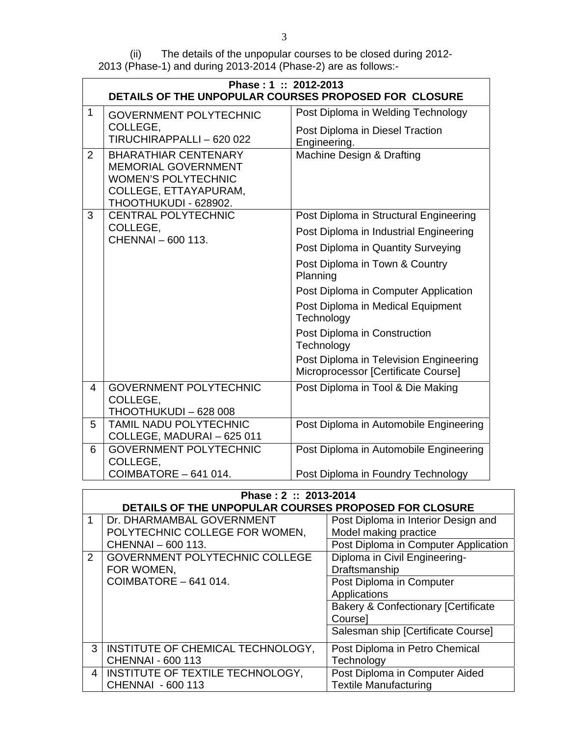(ii) The details of the unpopular courses to be closed during 2012- 2013 (Phase-1) and during 2013-2014 (Phase-2) are as follows:-

|                | Phase: 1: 2012-2013<br>DETAILS OF THE UNPOPULAR COURSES PROPOSED FOR CLOSURE                                                              |                                                                               |
|----------------|-------------------------------------------------------------------------------------------------------------------------------------------|-------------------------------------------------------------------------------|
| $\mathbf{1}$   | <b>GOVERNMENT POLYTECHNIC</b>                                                                                                             | Post Diploma in Welding Technology                                            |
|                | COLLEGE,<br>TIRUCHIRAPPALLI - 620 022                                                                                                     | Post Diploma in Diesel Traction<br>Engineering.                               |
| 2              | <b>BHARATHIAR CENTENARY</b><br><b>MEMORIAL GOVERNMENT</b><br><b>WOMEN'S POLYTECHNIC</b><br>COLLEGE, ETTAYAPURAM,<br>THOOTHUKUDI - 628902. | Machine Design & Drafting                                                     |
| 3              | <b>CENTRAL POLYTECHNIC</b>                                                                                                                | Post Diploma in Structural Engineering                                        |
|                | COLLEGE,<br>CHENNAI - 600 113.                                                                                                            | Post Diploma in Industrial Engineering                                        |
|                |                                                                                                                                           | Post Diploma in Quantity Surveying                                            |
|                |                                                                                                                                           | Post Diploma in Town & Country<br>Planning                                    |
|                |                                                                                                                                           | Post Diploma in Computer Application                                          |
|                |                                                                                                                                           | Post Diploma in Medical Equipment<br>Technology                               |
|                |                                                                                                                                           | Post Diploma in Construction<br>Technology                                    |
|                |                                                                                                                                           | Post Diploma in Television Engineering<br>Microprocessor [Certificate Course] |
| $\overline{4}$ | <b>GOVERNMENT POLYTECHNIC</b><br>COLLEGE,<br>THOOTHUKUDI - 628 008                                                                        | Post Diploma in Tool & Die Making                                             |
| 5              | <b>TAMIL NADU POLYTECHNIC</b><br>COLLEGE, MADURAI - 625 011                                                                               | Post Diploma in Automobile Engineering                                        |
| 6              | <b>GOVERNMENT POLYTECHNIC</b><br>COLLEGE,                                                                                                 | Post Diploma in Automobile Engineering                                        |
|                | COIMBATORE - 641 014.                                                                                                                     | Post Diploma in Foundry Technology                                            |

|                               | Phase: 2: 2013-2014<br>DETAILS OF THE UNPOPULAR COURSES PROPOSED FOR CLOSURE                                                                                      |                                                                                                                                                                                                                                                                                                       |
|-------------------------------|-------------------------------------------------------------------------------------------------------------------------------------------------------------------|-------------------------------------------------------------------------------------------------------------------------------------------------------------------------------------------------------------------------------------------------------------------------------------------------------|
| $\mathbf 1$<br>$\overline{2}$ | Dr. DHARMAMBAL GOVERNMENT<br>POLYTECHNIC COLLEGE FOR WOMEN,<br>CHENNAI - 600 113.<br><b>GOVERNMENT POLYTECHNIC COLLEGE</b><br>FOR WOMEN,<br>COIMBATORE - 641 014. | Post Diploma in Interior Design and<br>Model making practice<br>Post Diploma in Computer Application<br>Diploma in Civil Engineering-<br>Draftsmanship<br>Post Diploma in Computer<br>Applications<br><b>Bakery &amp; Confectionary [Certificate</b><br>Coursel<br>Salesman ship [Certificate Course] |
| 3                             | INSTITUTE OF CHEMICAL TECHNOLOGY,<br><b>CHENNAI - 600 113</b>                                                                                                     | Post Diploma in Petro Chemical<br>Technology                                                                                                                                                                                                                                                          |
| 4                             | INSTITUTE OF TEXTILE TECHNOLOGY,<br>CHENNAI - 600 113                                                                                                             | Post Diploma in Computer Aided<br><b>Textile Manufacturing</b>                                                                                                                                                                                                                                        |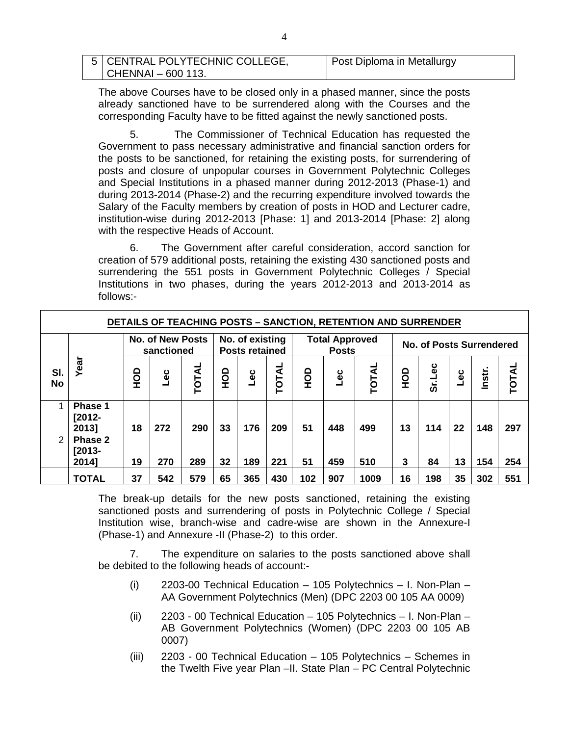| 5   CENTRAL POLYTECHNIC COLLEGE, | Post Diploma in Metallurgy |
|----------------------------------|----------------------------|
| CHENNAI - 600 113.               |                            |

The above Courses have to be closed only in a phased manner, since the posts already sanctioned have to be surrendered along with the Courses and the corresponding Faculty have to be fitted against the newly sanctioned posts.

5. The Commissioner of Technical Education has requested the Government to pass necessary administrative and financial sanction orders for the posts to be sanctioned, for retaining the existing posts, for surrendering of posts and closure of unpopular courses in Government Polytechnic Colleges and Special Institutions in a phased manner during 2012-2013 (Phase-1) and during 2013-2014 (Phase-2) and the recurring expenditure involved towards the Salary of the Faculty members by creation of posts in HOD and Lecturer cadre, institution-wise during 2012-2013 [Phase: 1] and 2013-2014 [Phase: 2] along with the respective Heads of Account.

6. The Government after careful consideration, accord sanction for creation of 579 additional posts, retaining the existing 430 sanctioned posts and surrendering the 551 posts in Government Polytechnic Colleges / Special Institutions in two phases, during the years 2012-2013 and 2013-2014 as follows:-

| <b>DETAILS OF TEACHING POSTS - SANCTION, RETENTION AND SURRENDER</b> |                               |            |                                       |       |    |                                          |       |          |                                       |       |          |                                 |        |        |       |
|----------------------------------------------------------------------|-------------------------------|------------|---------------------------------------|-------|----|------------------------------------------|-------|----------|---------------------------------------|-------|----------|---------------------------------|--------|--------|-------|
|                                                                      |                               |            | <b>No. of New Posts</b><br>sanctioned |       |    | No. of existing<br><b>Posts retained</b> |       |          | <b>Total Approved</b><br><b>Posts</b> |       |          | <b>No. of Posts Surrendered</b> |        |        |       |
| SI.<br><b>No</b>                                                     | Year                          | <b>OCH</b> | ں<br>ا                                | TOTAL | OH | ں<br>ا                                   | TOTAL | dor<br>E | ں<br>ا                                | TOTAL | dor<br>E | Sr.Lec                          | ں<br>ا | Instr. | TOTAL |
|                                                                      | Phase 1<br>$[2012 -$<br>20131 | 18         | 272                                   | 290   | 33 | 176                                      | 209   | 51       | 448                                   | 499   | 13       | 114                             | 22     | 148    | 297   |
| 2                                                                    | Phase 2<br>$[2013 -$<br>2014] | 19         | 270                                   | 289   | 32 | 189                                      | 221   | 51       | 459                                   | 510   | 3        | 84                              | 13     | 154    | 254   |
|                                                                      | <b>TOTAL</b>                  | 37         | 542                                   | 579   | 65 | 365                                      | 430   | 102      | 907                                   | 1009  | 16       | 198                             | 35     | 302    | 551   |

The break-up details for the new posts sanctioned, retaining the existing sanctioned posts and surrendering of posts in Polytechnic College / Special Institution wise, branch-wise and cadre-wise are shown in the Annexure-I (Phase-1) and Annexure -II (Phase-2) to this order.

 7. The expenditure on salaries to the posts sanctioned above shall be debited to the following heads of account:-

- (i) 2203-00 Technical Education 105 Polytechnics I. Non-Plan AA Government Polytechnics (Men) (DPC 2203 00 105 AA 0009)
- (ii) 2203 00 Technical Education 105 Polytechnics I. Non-Plan AB Government Polytechnics (Women) (DPC 2203 00 105 AB 0007)
- (iii) 2203 00 Technical Education 105 Polytechnics Schemes in the Twelth Five year Plan –II. State Plan – PC Central Polytechnic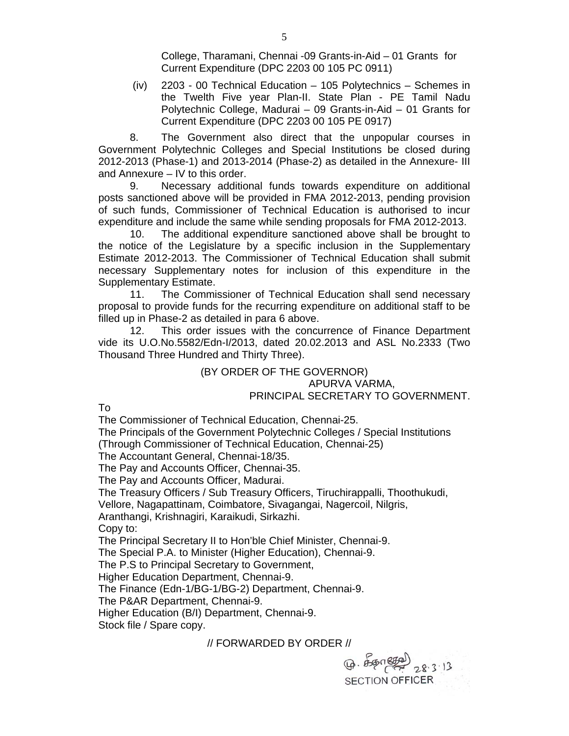College, Tharamani, Chennai -09 Grants-in-Aid – 01 Grants for Current Expenditure (DPC 2203 00 105 PC 0911)

 (iv) 2203 - 00 Technical Education – 105 Polytechnics – Schemes in the Twelth Five year Plan-II. State Plan - PE Tamil Nadu Polytechnic College, Madurai – 09 Grants-in-Aid – 01 Grants for Current Expenditure (DPC 2203 00 105 PE 0917)

 8. The Government also direct that the unpopular courses in Government Polytechnic Colleges and Special Institutions be closed during 2012-2013 (Phase-1) and 2013-2014 (Phase-2) as detailed in the Annexure- III and Annexure – IV to this order.

 9. Necessary additional funds towards expenditure on additional posts sanctioned above will be provided in FMA 2012-2013, pending provision of such funds, Commissioner of Technical Education is authorised to incur expenditure and include the same while sending proposals for FMA 2012-2013.

10. The additional expenditure sanctioned above shall be brought to the notice of the Legislature by a specific inclusion in the Supplementary Estimate 2012-2013. The Commissioner of Technical Education shall submit necessary Supplementary notes for inclusion of this expenditure in the Supplementary Estimate.

 11. The Commissioner of Technical Education shall send necessary proposal to provide funds for the recurring expenditure on additional staff to be filled up in Phase-2 as detailed in para 6 above.

 12. This order issues with the concurrence of Finance Department vide its U.O.No.5582/Edn-I/2013, dated 20.02.2013 and ASL No.2333 (Two Thousand Three Hundred and Thirty Three).

#### (BY ORDER OF THE GOVERNOR) APURVA VARMA, PRINCIPAL SECRETARY TO GOVERNMENT.

 $\n <sub>4</sub>$   $\n <sub>4</sub>$   $\n <sub>5</sub>$ 

**SECTION OFFICER** 

To

The Commissioner of Technical Education, Chennai-25.

The Principals of the Government Polytechnic Colleges / Special Institutions (Through Commissioner of Technical Education, Chennai-25)

The Accountant General, Chennai-18/35.

The Pay and Accounts Officer, Chennai-35.

The Pay and Accounts Officer, Madurai.

The Treasury Officers / Sub Treasury Officers, Tiruchirappalli, Thoothukudi,

Vellore, Nagapattinam, Coimbatore, Sivagangai, Nagercoil, Nilgris,

Aranthangi, Krishnagiri, Karaikudi, Sirkazhi.

Copy to:

The Principal Secretary II to Hon'ble Chief Minister, Chennai-9.

The Special P.A. to Minister (Higher Education), Chennai-9.

The P.S to Principal Secretary to Government,

Higher Education Department, Chennai-9.

The Finance (Edn-1/BG-1/BG-2) Department, Chennai-9.

The P&AR Department, Chennai-9.

Higher Education (B/I) Department, Chennai-9.

Stock file / Spare copy.

// FORWARDED BY ORDER //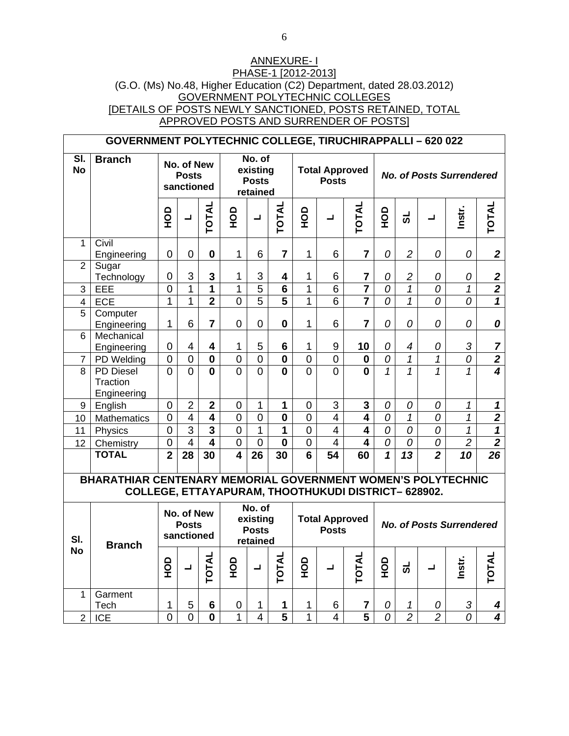### ANNEXURE- I PHASE-1 [2012-2013] (G.O. (Ms) No.48, Higher Education (C2) Department, dated 28.03.2012) GOVERNMENT POLYTECHNIC COLLEGES [DETAILS OF POSTS NEWLY SANCTIONED, POSTS RETAINED, TOTAL APPROVED POSTS AND SURRENDER OF POSTS]

|                  | <b>GOVERNMENT POLYTECHNIC COLLEGE, TIRUCHIRAPPALLI - 620 022</b>                                                    |                |                                          |                         |                         |                                                |                         |                |                                       |                |               |                          |                          |                                 |                         |
|------------------|---------------------------------------------------------------------------------------------------------------------|----------------|------------------------------------------|-------------------------|-------------------------|------------------------------------------------|-------------------------|----------------|---------------------------------------|----------------|---------------|--------------------------|--------------------------|---------------------------------|-------------------------|
| SI.<br><b>No</b> | <b>Branch</b>                                                                                                       |                | No. of New<br><b>Posts</b><br>sanctioned |                         |                         | No. of<br>existing<br><b>Posts</b><br>retained |                         |                | <b>Total Approved</b><br><b>Posts</b> |                |               |                          |                          | <b>No. of Posts Surrendered</b> |                         |
|                  |                                                                                                                     | OOH            | $\overline{\phantom{0}}$                 | <b>JATO</b>             | OOH                     | ┙                                              | <b>JATO</b>             | $rac{1}{2}$    | ┙                                     | <b>TOTAL</b>   | OHO           | ಕ                        | ┚                        | Instr.                          | TOTAL                   |
| 1                | Civil<br>Engineering                                                                                                | $\mathbf 0$    | 0                                        | $\mathbf{0}$            | 1                       | 6                                              | $\overline{7}$          | $\mathbf{1}$   | 6                                     | $\overline{7}$ | 0             | $\overline{2}$           | 0                        | 0                               | $\boldsymbol{2}$        |
| $\overline{2}$   | Sugar<br>Technology                                                                                                 | $\pmb{0}$      | 3                                        | $\mathbf{3}$            | 1                       | 3                                              | 4                       | $\mathbf{1}$   | 6                                     | 7              | 0             | $\overline{c}$           | 0                        | 0                               | $\frac{2}{2}$           |
| 3                | EEE                                                                                                                 | $\overline{0}$ | $\mathbf{1}$                             | $\mathbf{1}$            | 1                       | $\overline{5}$                                 | $6\phantom{1}$          | $\mathbf{1}$   | 6                                     |                | 0             | $\mathcal I$             | 0                        | $\mathcal I$                    |                         |
| 4                | <b>ECE</b>                                                                                                          | $\mathbf{1}$   | $\mathbf{1}$                             | $\overline{2}$          | $\overline{0}$          | $\overline{5}$                                 | $\overline{5}$          | $\mathbf{1}$   | 6                                     |                | 0             | $\mathcal I$             | 0                        | 0                               | $\overline{\mathbf{1}}$ |
| $\overline{5}$   | Computer<br>Engineering                                                                                             | $\mathbf{1}$   | 6                                        | $\overline{7}$          | $\mathbf 0$             | $\mathbf 0$                                    | $\mathbf 0$             | $\mathbf{1}$   | 6                                     | $\overline{7}$ | 0             | 0                        | 0                        | 0                               | 0                       |
| 6                | Mechanical<br>Engineering                                                                                           | 0              | 4                                        | $\overline{\mathbf{4}}$ | 1                       | 5                                              | $6\phantom{1}$          | $\mathbf{1}$   | 9                                     | 10             | 0             | $\overline{\mathcal{A}}$ | 0                        | 3                               | 7                       |
| $\overline{7}$   | PD Welding                                                                                                          | $\overline{0}$ | $\overline{0}$                           | $\mathbf 0$             | $\overline{0}$          | $\overline{0}$                                 | $\overline{\mathbf{0}}$ | $\overline{0}$ | $\overline{0}$                        | $\bf{0}$       | 0             | $\overline{1}$           | $\overline{1}$           | $\overline{o}$                  | $\overline{2}$          |
| 8                | <b>PD Diesel</b><br>Traction<br>Engineering                                                                         | $\overline{0}$ | $\Omega$                                 | $\mathbf{0}$            | $\overline{0}$          | $\Omega$                                       | $\mathbf{0}$            | $\Omega$       | $\overline{0}$                        | $\mathbf{0}$   | $\mathbf{1}$  | $\overline{1}$           | $\overline{\mathcal{L}}$ | $\mathcal{I}$                   | $\overline{\mathbf{4}}$ |
| 9                | English                                                                                                             | $\mathbf 0$    | $\overline{2}$                           | $\mathbf 2$             | $\mathbf 0$             | $\mathbf{1}$                                   | $\mathbf{1}$            | 0              | 3                                     | 3              | 0             | 0                        | 0                        | $\mathbf{1}$                    | $\mathbf{1}$            |
| 10               | Mathematics                                                                                                         | $\overline{0}$ | $\overline{4}$                           | $\overline{\mathbf{4}}$ | $\overline{0}$          | $\overline{0}$                                 | $\mathbf 0$             | $\overline{0}$ | $\overline{4}$                        | $\overline{4}$ | 0             | $\mathbf{1}$             | 0                        | 1                               | $\overline{\mathbf{2}}$ |
| 11               | Physics                                                                                                             | $\mathbf 0$    | $\overline{3}$                           | $\overline{\mathbf{3}}$ | $\overline{0}$          | $\overline{1}$                                 | $\overline{1}$          | $\overline{0}$ | $\overline{4}$                        | $\overline{4}$ | 0             | 0                        | 0                        | $\overline{1}$                  | $\overline{\mathbf{1}}$ |
| 12               | Chemistry                                                                                                           | $\overline{0}$ | $\overline{4}$                           | $\overline{4}$          | $\overline{0}$          | $\overline{0}$                                 | $\mathbf 0$             | $\overline{0}$ | $\overline{4}$                        | $\overline{4}$ | 0             | $\overline{O}$           | $\overline{o}$           | $\overline{2}$                  | $\overline{2}$          |
|                  | <b>TOTAL</b>                                                                                                        | $\overline{2}$ | 28                                       | 30                      | $\overline{\mathbf{4}}$ | 26                                             | 30                      | $\overline{6}$ | $\overline{54}$                       | 60             | $\mathbf{1}$  | $\overline{13}$          | $\overline{2}$           | 10                              | $\overline{26}$         |
|                  | BHARATHIAR CENTENARY MEMORIAL GOVERNMENT WOMEN'S POLYTECHNIC<br>COLLEGE, ETTAYAPURAM, THOOTHUKUDI DISTRICT- 628902. |                |                                          |                         |                         |                                                |                         |                |                                       |                |               |                          |                          |                                 |                         |
| SI.              | <b>Branch</b>                                                                                                       |                | No. of New<br><b>Posts</b><br>sanctioned |                         |                         | No. of<br>existing<br><b>Posts</b><br>retained |                         |                | <b>Total Approved</b><br><b>Posts</b> |                |               |                          |                          | <b>No. of Posts Surrendered</b> |                         |
| <b>No</b>        |                                                                                                                     | $\frac{1}{2}$  | TOTAL<br>ᆜ                               |                         |                         | ┙                                              | <b>TOTAL</b>            | QЯ             | L                                     | TOTAL          | $\frac{1}{2}$ | ಕ                        | ┙                        | Instr.                          | TOTAL                   |
| $\overline{1}$   | Garment<br>Tech                                                                                                     | 1              | 5                                        | $6\phantom{1}$          | $\boldsymbol{0}$        | 1                                              | 1                       | 1              | 6                                     | 7              | 0             | 1                        | 0                        | 3                               | 4                       |
| $\overline{2}$   | <b>ICE</b>                                                                                                          | $\overline{0}$ | $\overline{0}$                           | $\mathbf 0$             | 1                       | $\overline{4}$                                 | $\overline{5}$          | $\mathbf{1}$   | $\overline{4}$                        | $\overline{5}$ | 0             | $\overline{2}$           | $\overline{2}$           | $\theta$                        | $\overline{\mathbf{4}}$ |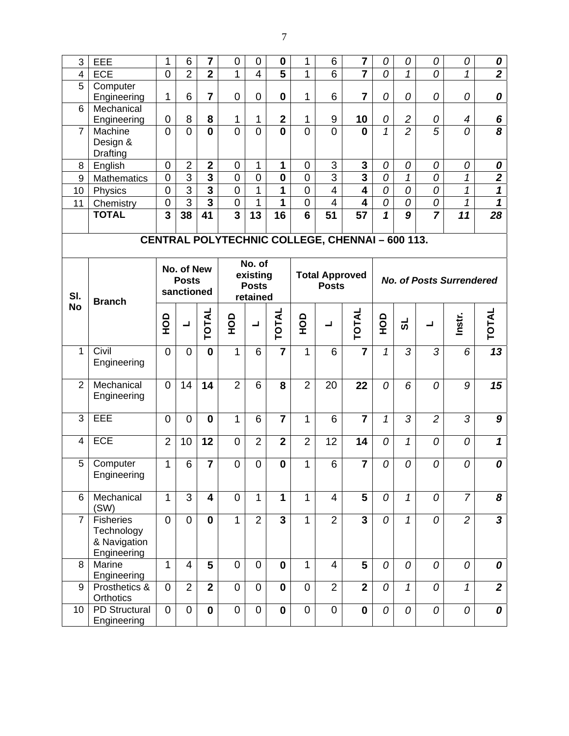| 3              | EEE                                                           | 1                       | 6                                        | 7                       | 0              | 0                                              | $\boldsymbol{0}$        | 1              | 6                                     | 7                                               | 0                       | 0              | 0                   | 0                               | 0                                |
|----------------|---------------------------------------------------------------|-------------------------|------------------------------------------|-------------------------|----------------|------------------------------------------------|-------------------------|----------------|---------------------------------------|-------------------------------------------------|-------------------------|----------------|---------------------|---------------------------------|----------------------------------|
| 4              | <b>ECE</b>                                                    | $\overline{0}$          | $\overline{2}$                           | $\overline{2}$          | 1              | $\overline{4}$                                 | $\overline{5}$          | 1              | 6                                     | $\overline{7}$                                  | 0                       | 1              | 0                   | 1                               | $\overline{2}$                   |
| 5              | Computer<br>Engineering                                       | 1                       | 6                                        | 7                       | $\mathbf 0$    | 0                                              | $\mathbf{0}$            | 1              | 6                                     | 7                                               | 0                       | 0              | 0                   | 0                               | 0                                |
| 6              | Mechanical<br>Engineering                                     | $\pmb{0}$               | 8                                        | 8                       | 1              | 1                                              | $\overline{\mathbf{2}}$ | 1              | 9                                     | 10                                              | 0                       | $\overline{c}$ | 0                   | 4                               | $\boldsymbol{6}$                 |
| $\overline{7}$ | Machine<br>Design &<br>Drafting                               | $\overline{0}$          | $\overline{0}$                           | $\mathbf{0}$            | $\overline{0}$ | $\overline{0}$                                 | $\mathbf{0}$            | $\overline{0}$ | $\overline{0}$                        | $\mathbf 0$                                     | $\mathcal{I}$           | $\overline{2}$ | $\overline{5}$      | 0                               | $\overline{\boldsymbol{\delta}}$ |
| 8              | English                                                       | $\boldsymbol{0}$        | $\overline{2}$                           | $\mathbf{2}$            | $\mathbf 0$    | $\mathbf{1}$                                   | 1                       | 0              | 3                                     | 3                                               | 0                       | 0              | 0                   | 0                               | 0                                |
| 9              | Mathematics                                                   | $\mathbf 0$             | $\overline{3}$                           | $\overline{\mathbf{3}}$ | $\overline{0}$ | $\overline{0}$                                 | $\mathbf 0$             | $\overline{0}$ | 3                                     | $\overline{\mathbf{3}}$                         | 0                       | 1              | 0                   | 1                               | $\overline{2}$                   |
| 10             | Physics                                                       | $\boldsymbol{0}$        | $\overline{3}$                           | $\overline{\mathbf{3}}$ | $\overline{0}$ | 1                                              | 1                       | $\overline{0}$ | $\overline{\mathbf{4}}$               | $\overline{4}$                                  | $\overline{0}$          | $\overline{0}$ | $\overline{\theta}$ | $\mathbf 1$                     | $\overline{\mathbf{1}}$          |
| 11             | Chemistry                                                     | $\boldsymbol{0}$        | $\overline{3}$                           | $\overline{\mathbf{3}}$ | $\mathbf 0$    | 1                                              | 1                       | $\mathbf 0$    | $\overline{4}$                        | 4                                               | $\mathcal O$            | 0              | 0                   | 1                               | $\overline{\mathbf{1}}$          |
|                | <b>TOTAL</b>                                                  | $\overline{\mathbf{3}}$ | 38                                       | 41                      | $\overline{3}$ | $\overline{13}$                                | 16                      | 6              | 51                                    | 57                                              | $\overline{\mathbf{1}}$ | $\overline{g}$ |                     | 11                              | 28                               |
|                |                                                               |                         |                                          |                         |                |                                                |                         |                |                                       | CENTRAL POLYTECHNIC COLLEGE, CHENNAI - 600 113. |                         |                |                     |                                 |                                  |
| SI.            | <b>Branch</b>                                                 |                         | No. of New<br><b>Posts</b><br>sanctioned |                         |                | No. of<br>existing<br><b>Posts</b><br>retained |                         |                | <b>Total Approved</b><br><b>Posts</b> |                                                 |                         |                |                     | <b>No. of Posts Surrendered</b> |                                  |
| <b>No</b>      |                                                               | $\frac{1}{2}$           | $\blacksquare$                           | <b>TOTAL</b>            | <b>OCH</b>     | $\blacksquare$                                 | <b>TOTAL</b>            | о<br>Э         | ᆜ                                     | <b>TOTAL</b>                                    | $\frac{1}{2}$           | ಕ              | ᆜ                   | Instr.                          | <b>TOTAL</b>                     |
| 1              | Civil<br>Engineering                                          | $\overline{0}$          | $\overline{0}$                           | $\mathbf{0}$            | $\mathbf{1}$   | 6                                              |                         | 1              | 6                                     |                                                 | $\mathcal I$            | 3              | 3                   | 6                               | 13                               |
| $\overline{2}$ | Mechanical<br>Engineering                                     | $\mathbf 0$             | 14                                       | 14                      | $\overline{2}$ | 6                                              | 8                       | $\overline{2}$ | 20                                    | 22                                              | 0                       | 6              | 0                   | 9                               | 15                               |
| 3              | EEE                                                           | $\mathbf 0$             | $\overline{0}$                           | $\bf{0}$                | $\mathbf{1}$   | 6                                              | $\overline{7}$          | 1              | 6                                     | $\overline{7}$                                  | 1                       | 3              | $\overline{2}$      | 3                               | $\boldsymbol{9}$                 |
| 4              | <b>ECE</b>                                                    | $\overline{2}$          | 10                                       | 12                      | $\overline{0}$ | $\overline{2}$                                 | $\overline{\mathbf{2}}$ | $\overline{2}$ | 12                                    | 14                                              | 0                       | $\mathcal{I}$  | 0                   | 0                               | $\mathbf{1}$                     |
| 5              | Computer<br>Engineering                                       | 1                       | 6                                        | $\overline{7}$          | $\mathbf 0$    | $\overline{0}$                                 | $\mathbf 0$             | 1              | 6                                     | $\overline{7}$                                  | 0                       | 0              | 0                   | 0                               | 0                                |
| 6              | Mechanical<br>(SW)                                            | $\mathbf{1}$            | 3                                        | $\overline{\mathbf{4}}$ | $\mathbf 0$    | 1                                              | 1                       | $\mathbf{1}$   | $\overline{4}$                        | 5                                               | 0                       | $\mathbf{1}$   | 0                   | $\overline{7}$                  | 8                                |
| $\overline{7}$ | <b>Fisheries</b><br>Technology<br>& Navigation<br>Engineering | $\mathbf 0$             | 0                                        | $\mathbf 0$             | $\mathbf{1}$   | $\overline{2}$                                 | $\overline{3}$          | $\mathbf{1}$   | $\overline{2}$                        | $\overline{3}$                                  | $\mathcal{O}$           | $\mathcal I$   | 0                   | $\overline{2}$                  | $\mathbf{3}$                     |
| 8              | Marine<br>Engineering                                         | 1                       | 4                                        | 5                       | $\overline{0}$ | $\mathbf 0$                                    | $\mathbf 0$             | $\mathbf{1}$   | $\overline{4}$                        | $5\phantom{.}$                                  | 0                       | 0              | 0                   | 0                               | 0                                |
| 9              | Prosthetics &<br>Orthotics                                    | $\mathbf 0$             | $\overline{2}$                           | $\mathbf{2}$            | 0              | 0                                              | $\mathbf{0}$            | 0              | $\overline{2}$                        | $\mathbf{2}$                                    | $\mathcal{O}$           | $\mathcal I$   | 0                   | $\mathbf{1}$                    | $\boldsymbol{2}$                 |
| 10             | <b>PD Structural</b><br>Engineering                           | 0                       | $\mathbf 0$                              | $\mathbf 0$             | $\mathbf 0$    | 0                                              | $\mathbf 0$             | 0              | $\mathbf 0$                           | $\mathbf 0$                                     | 0                       | 0              | 0                   | 0                               | 0                                |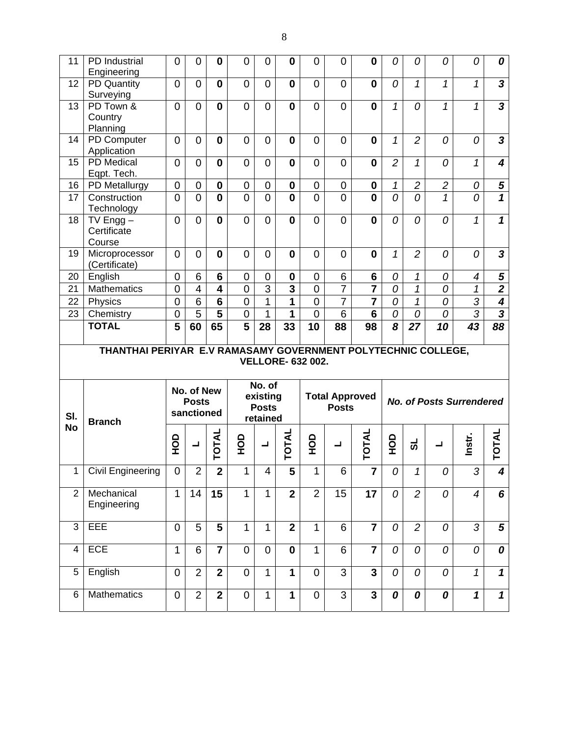| 11             | PD Industrial<br>Engineering                                  | $\mathbf 0$    | 0                                        | 0                       | $\mathbf 0$    | 0                                                           | $\bf{0}$                | 0                        | 0                                     | $\bf{0}$                | 0              | 0              | 0              | 0                               | 0                       |
|----------------|---------------------------------------------------------------|----------------|------------------------------------------|-------------------------|----------------|-------------------------------------------------------------|-------------------------|--------------------------|---------------------------------------|-------------------------|----------------|----------------|----------------|---------------------------------|-------------------------|
| 12             | <b>PD Quantity</b><br>Surveying                               | $\overline{0}$ | 0                                        | $\mathbf{0}$            | $\overline{0}$ | $\overline{0}$                                              | $\mathbf{0}$            | $\overline{0}$           | $\overline{0}$                        | $\mathbf 0$             | 0              | $\mathbf{1}$   | $\mathcal I$   | 1                               | $\overline{\mathbf{3}}$ |
| 13             | PD Town &<br>Country<br>Planning                              | $\overline{0}$ | $\overline{0}$                           | $\mathbf 0$             | $\overline{0}$ | $\overline{0}$                                              | $\mathbf{0}$            | 0                        | $\overline{0}$                        | $\mathbf 0$             | $\mathcal{I}$  | 0              | $\mathcal{I}$  | 1                               | $\overline{3}$          |
| 14             | PD Computer<br>Application                                    | $\overline{0}$ | $\overline{0}$                           | $\mathbf{0}$            | $\overline{0}$ | $\overline{0}$                                              | $\mathbf{0}$            | $\overline{0}$           | $\overline{0}$                        | $\mathbf 0$             | $\mathcal{I}$  | $\overline{2}$ | 0              | 0                               | $\mathbf{3}$            |
| 15             | <b>PD</b> Medical<br>Eqpt. Tech.                              | $\overline{0}$ | $\Omega$                                 | $\mathbf 0$             | $\overline{0}$ | $\Omega$                                                    | $\mathbf{0}$            | $\overline{0}$           | $\overline{0}$                        | $\mathbf 0$             | $\overline{2}$ | $\mathbf{1}$   | $\theta$       | $\mathcal{I}$                   | $\overline{\mathbf{4}}$ |
| 16             | PD Metallurgy                                                 | $\mathbf 0$    | $\mathbf 0$                              | $\mathbf 0$             | $\mathbf 0$    | $\mathbf 0$                                                 | $\mathbf 0$             | 0                        | $\mathbf 0$                           | $\mathbf 0$             | 1              | $\overline{c}$ | $\overline{2}$ | 0                               | $rac{5}{1}$             |
| 17             | Construction<br>Technology                                    | $\overline{0}$ | $\overline{0}$                           | $\mathbf{0}$            | $\overline{0}$ | $\Omega$                                                    | $\mathbf{0}$            | $\overline{0}$           | $\overline{0}$                        | $\mathbf 0$             | $\overline{o}$ | 0              | $\mathbf{1}$   | 0                               |                         |
| 18             | $TV$ Engg $-$<br>Certificate<br>Course                        | $\overline{0}$ | 0                                        | $\bf{0}$                | $\overline{0}$ | $\overline{0}$                                              | $\bf{0}$                | 0                        | $\overline{0}$                        | $\bf{0}$                | 0              | 0              | 0              | 1                               | $\mathbf{1}$            |
| 19             | Microprocessor<br>(Certificate)                               | $\overline{0}$ | $\overline{0}$                           | $\mathbf{0}$            | $\overline{0}$ | $\overline{0}$                                              | $\mathbf{0}$            | $\overline{0}$           | $\overline{0}$                        | $\bf{0}$                | $\mathcal{I}$  | $\overline{2}$ | 0              | 0                               | $\mathbf{3}$            |
| 20             | English                                                       | $\overline{0}$ | 6                                        | $6\phantom{1}$          | $\overline{0}$ | $\Omega$                                                    | $\mathbf 0$             | $\overline{0}$           | 6                                     | $6\phantom{1}$          | 0              | 1              | 0              | 4                               | ${\bf 5}$               |
| 21             | <b>Mathematics</b>                                            | $\mathbf 0$    | 4                                        | $\overline{\mathbf{4}}$ | $\overline{0}$ | $\overline{3}$                                              | $\overline{\mathbf{3}}$ | $\overline{0}$           | $\overline{7}$                        |                         | 0              | $\mathbf{1}$   | 0              | $\mathbf 1$                     | $\overline{\mathbf{2}}$ |
| 22             | Physics                                                       | $\overline{0}$ | 6                                        | $6\phantom{1}$          | $\overline{0}$ | $\mathbf 1$                                                 | 1                       | $\overline{0}$           | $\overline{7}$                        | $\overline{\mathbf{7}}$ | 0              | $\mathbf{1}$   | 0              | $\overline{3}$                  | $\boldsymbol{4}$        |
| 23             | Chemistry                                                     | $\overline{0}$ | $\overline{5}$                           | 5                       | $\mathbf 0$    | $\mathbf 1$                                                 | 1                       | 0                        | 6                                     | $6\phantom{1}$          | 0              | 0              | 0              | $\overline{3}$                  | $\overline{\mathbf{3}}$ |
|                | <b>TOTAL</b>                                                  | 5              | 60                                       | 65                      | 5              | 28                                                          | 33                      | 10                       | 88                                    | 98                      | 8              | 27             | 10             | 43                              | $\overline{88}$         |
|                |                                                               |                |                                          |                         |                |                                                             |                         |                          |                                       |                         |                |                |                |                                 |                         |
|                | THANTHAI PERIYAR E.V RAMASAMY GOVERNMENT POLYTECHNIC COLLEGE, |                |                                          |                         |                |                                                             |                         | <b>VELLORE- 632 002.</b> |                                       |                         |                |                |                |                                 |                         |
| SI.            |                                                               |                | No. of New<br><b>Posts</b><br>sanctioned |                         |                | $\overline{No.}$ of<br>existing<br><b>Posts</b><br>retained |                         |                          | <b>Total Approved</b><br><b>Posts</b> |                         |                |                |                | <b>No. of Posts Surrendered</b> |                         |
| <b>No</b>      | <b>Branch</b>                                                 | 9DH            | ┙                                        | TOTAL                   | а<br>Э         | ᆜ                                                           | TOTAL                   | 요<br>모                   | ᆜ                                     | <b>TOTAL</b>            | 요<br>모         | ಕ              | ┙              | Instr.                          | <b>TOTAL</b>            |
| $\mathbf{1}$   | <b>Civil Engineering</b>                                      | $\mathbf 0$    | $\overline{2}$                           | $\overline{2}$          | 1              | 4                                                           | 5                       | 1                        | 6                                     | 7                       | 0              | $\mathbf{1}$   | 0              | 3                               | $\overline{\mathbf{4}}$ |
| $\overline{2}$ | Mechanical<br>Engineering                                     | $\mathbf{1}$   | 14                                       | 15                      | 1              | $\mathbf{1}$                                                | $\overline{2}$          | $\overline{2}$           | 15                                    | 17                      | 0              | $\overline{2}$ | 0              | $\overline{4}$                  | 6                       |
| 3              | EEE                                                           | $\mathbf 0$    | 5                                        | $5\phantom{.}$          | 1              | $\mathbf{1}$                                                | $\overline{2}$          | $\mathbf{1}$             | 6                                     | $\overline{7}$          | 0              | $\overline{2}$ | 0              | 3                               | $\overline{\mathbf{5}}$ |
| 4              | <b>ECE</b>                                                    | $\mathbf{1}$   | 6                                        | $\overline{\mathbf{7}}$ | $\overline{0}$ | $\mathbf 0$                                                 | $\mathbf 0$             | $\mathbf{1}$             | 6                                     | $\overline{7}$          | 0              | 0              | 0              | 0                               | 0                       |
| 5              | English                                                       | $\mathbf 0$    | $\overline{2}$                           | $\mathbf{2}$            | $\overline{0}$ | $\mathbf{1}$                                                | $\mathbf 1$             | 0                        | 3                                     | $\overline{\mathbf{3}}$ | 0              | 0              | 0              | $\mathcal I$                    | $\mathbf{1}$            |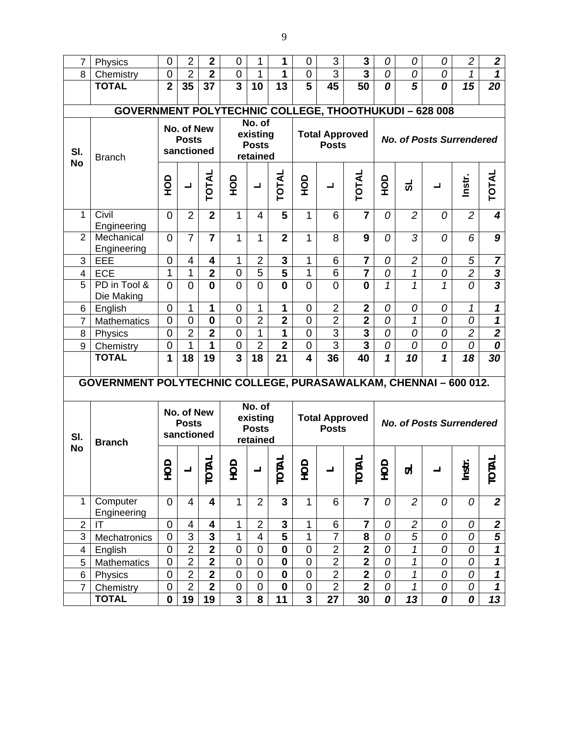| $\overline{7}$           | Physics                                                               | $\mathbf 0$      | $\overline{2}$                           | $\mathbf{2}$               | 0                       | $\mathbf{1}$                                   | 1                       | 0                       | 3                                     | 3                                         | 0             | 0              | 0                               | $\overline{c}$ | $\boldsymbol{2}$           |
|--------------------------|-----------------------------------------------------------------------|------------------|------------------------------------------|----------------------------|-------------------------|------------------------------------------------|-------------------------|-------------------------|---------------------------------------|-------------------------------------------|---------------|----------------|---------------------------------|----------------|----------------------------|
| 8                        | Chemistry                                                             | $\mathbf 0$      | $\overline{2}$                           | $\overline{2}$             | $\mathbf 0$             | $\mathbf{1}$                                   | 1                       | 0                       | 3                                     | 3                                         | 0             | 0              | 0                               | $\mathcal I$   | $\mathbf 1$                |
|                          | <b>TOTAL</b>                                                          | $\overline{2}$   | 35                                       | 37                         | $\overline{3}$          | 10                                             | 13                      | 5                       | 45                                    | 50                                        | 0             | 5              | 0                               | 15             | 20                         |
|                          |                                                                       |                  |                                          |                            |                         |                                                |                         |                         |                                       |                                           |               |                |                                 |                |                            |
|                          | <b>GOVERNMENT POLYTECHNIC COLLEGE, THOOTHUKUDI - 628 008</b>          |                  |                                          |                            |                         |                                                |                         |                         |                                       |                                           |               |                |                                 |                |                            |
| SI.<br><b>No</b>         | <b>Branch</b>                                                         |                  | No. of New<br><b>Posts</b><br>sanctioned |                            |                         | No. of<br>existing<br><b>Posts</b><br>retained |                         |                         | <b>Total Approved</b><br><b>Posts</b> |                                           |               |                | <b>No. of Posts Surrendered</b> |                |                            |
|                          |                                                                       | $\frac{1}{2}$    | ᆜ                                        | TOTAL                      | $\frac{1}{2}$           | ᆜ                                              | <b>TOTAL</b>            | ОР<br>Н                 | ┙                                     | TOTAL                                     | $\frac{1}{2}$ | ಕ              |                                 | Instr.         | <b>TOTAL</b>               |
| $\overline{1}$           | Civil<br>Engineering                                                  | $\overline{0}$   | $\overline{2}$                           | $\overline{2}$             | $\mathbf{1}$            | $\overline{4}$                                 | 5                       | $\mathbf{1}$            | 6                                     | $\overline{7}$                            | 0             | $\overline{c}$ | 0                               | $\overline{2}$ | $\overline{\mathbf{4}}$    |
| $\overline{2}$           | Mechanical<br>Engineering                                             | $\overline{0}$   | $\overline{7}$                           | $\overline{7}$             | 1                       | 1                                              | $\overline{2}$          | 1                       | 8                                     | 9                                         | 0             | 3              | 0                               | 6              | 9                          |
| 3                        | EEE                                                                   | $\mathbf 0$      | 4                                        | 4                          | 1                       | $\overline{2}$                                 | 3                       | 1                       | 6                                     | 7                                         | 0             | $\overline{2}$ | 0                               | 5              | $\overline{7}$             |
| $\overline{\mathcal{A}}$ | <b>ECE</b>                                                            | 1                | 1                                        | $\overline{\mathbf{2}}$    | $\mathbf 0$             | $\overline{5}$                                 | $\overline{\mathbf{5}}$ | 1                       | 6                                     | $\overline{\mathbf{7}}$                   | 0             | 1              | 0                               | $\overline{2}$ | $\frac{3}{3}$              |
| 5                        | PD in Tool &<br>Die Making                                            | $\overline{0}$   | $\overline{0}$                           | $\mathbf{0}$               | $\overline{0}$          | $\overline{0}$                                 | $\bf{0}$                | $\overline{0}$          | $\overline{0}$                        | $\bf{0}$                                  | 1             | $\mathcal I$   | 1                               | 0              |                            |
| 6                        | English                                                               | $\mathbf 0$      | 1                                        | $\mathbf{1}$               | $\mathbf 0$             | $\mathbf{1}$                                   | 1                       | 0                       | $\overline{2}$                        | $\overline{2}$                            | 0             | 0              | 0                               | 1              | $\boldsymbol{\mathcal{L}}$ |
| $\overline{7}$           | <b>Mathematics</b>                                                    | $\overline{0}$   | $\mathbf 0$                              | $\mathbf 0$                | $\mathbf 0$             | $\overline{2}$                                 | $\overline{2}$          | $\overline{0}$          | $\overline{2}$                        | $\overline{\mathbf{2}}$                   | 0             | 1              | 0                               | 0              | $\boldsymbol{\mathcal{L}}$ |
| 8                        | Physics                                                               | $\mathbf 0$      | $\overline{2}$                           | $\overline{2}$             | $\overline{0}$          | $\overline{1}$                                 | 1                       | $\overline{0}$          | $\overline{3}$                        | $\overline{\mathbf{3}}$                   | 0             | 0              | 0                               | $\overline{2}$ | $\overline{\mathbf{2}}$    |
| 9                        | Chemistry                                                             | $\mathbf 0$      | 1                                        | 1                          | $\mathbf 0$             | $\overline{2}$                                 | $\overline{2}$          | $\mathbf 0$             | $\overline{3}$                        | $\overline{\mathbf{3}}$                   | 0             | 0              | 0                               | 0              | 0                          |
|                          | <b>TOTAL</b>                                                          | 1                | 18                                       | 19                         | 3                       | 18                                             | 21                      | $\overline{\mathbf{4}}$ | 36                                    | 40                                        | $\mathbf 1$   | 10             | $\mathbf{1}$                    | 18             | 30                         |
|                          | <b>GOVERNMENT POLYTECHNIC COLLEGE, PURASAWALKAM, CHENNAI-600 012.</b> |                  |                                          |                            |                         |                                                |                         |                         |                                       |                                           |               |                |                                 |                |                            |
|                          |                                                                       |                  | No. of New                               |                            |                         | No. of                                         |                         |                         |                                       |                                           |               |                |                                 |                |                            |
| SI.<br><b>No</b>         | <b>Branch</b>                                                         |                  | <b>Posts</b><br>sanctioned               |                            |                         | existing<br><b>Posts</b><br>retained           |                         |                         | <b>Total Approved</b><br><b>Posts</b> |                                           |               |                | <b>No. of Posts Surrendered</b> |                |                            |
|                          |                                                                       | OOH              | $\mathbf{u}$                             | <u>ৰ</u><br>$\overline{O}$ | ЭCН                     | $\blacksquare$                                 | ₹<br>$\overline{O}$     | QН                      |                                       | $\overline{\mathbf{A}}$<br>$\overline{O}$ | OOH           | ದ              |                                 | Instr.         | ₹<br>$\overline{C}$        |
| 1                        | Computer<br>Engineering                                               | $\mathbf 0$      | 4                                        | 4                          | $\mathbf{1}$            | $\overline{2}$                                 | $\mathbf{3}$            | $\mathbf{1}$            | 6                                     | $\overline{7}$                            | 0             | $\overline{c}$ | 0                               | 0              | $\mathbf{2}$               |
| $\overline{2}$           | IT                                                                    | $\boldsymbol{0}$ | 4                                        | 4                          | 1                       | $\overline{2}$                                 | $\mathbf{3}$            | 1                       | 6                                     | 7                                         | 0             | $\overline{c}$ | 0                               | 0              | $\boldsymbol{2}$           |
| 3                        | Mechatronics                                                          | $\overline{0}$   | $\overline{3}$                           | $\mathbf{3}$               | 1                       | 4                                              | 5                       | $\mathbf{1}$            | $\overline{7}$                        | 8                                         | 0             | 5              | 0                               | 0              | 5                          |
| 4                        | English                                                               | $\mathbf 0$      | $\overline{2}$                           | $\overline{2}$             | $\mathbf 0$             | $\mathbf 0$                                    | $\mathbf 0$             | $\mathbf 0$             | $\overline{2}$                        | $\overline{\mathbf{2}}$                   | 0             | 1              | 0                               | 0              | $\mathbf 1$                |
| 5                        | <b>Mathematics</b>                                                    | $\mathbf 0$      | $\overline{2}$                           | $\overline{\mathbf{2}}$    | $\mathbf 0$             | $\mathbf 0$                                    | $\mathbf 0$             | 0                       | $\overline{2}$                        | $\overline{\mathbf{2}}$                   | 0             | 1              | 0                               | 0              | $\mathbf{1}$               |
| 6                        | Physics                                                               | $\pmb{0}$        | $\overline{2}$                           | $\overline{\mathbf{2}}$    | $\mathbf 0$             | $\mathbf 0$                                    | $\boldsymbol{0}$        | $\mathbf 0$             | $\overline{2}$                        | $\overline{\mathbf{2}}$                   | 0             | 1              | 0                               | 0              | $\boldsymbol{\mathcal{L}}$ |
| $\overline{7}$           | Chemistry                                                             | $\mathbf 0$      | $\overline{2}$                           | $\overline{\mathbf{2}}$    | $\pmb{0}$               | $\mathbf 0$                                    | $\mathbf 0$             | 0                       | $\overline{2}$                        | $\overline{2}$                            | 0             | 1              | 0                               | 0              | $\mathbf{1}$               |
|                          | <b>TOTAL</b>                                                          | $\mathbf 0$      | 19                                       | 19                         | $\overline{\mathbf{3}}$ | 8                                              | 11                      | 3                       | $\overline{27}$                       | 30                                        | 0             | 13             | 0                               | 0              | 13                         |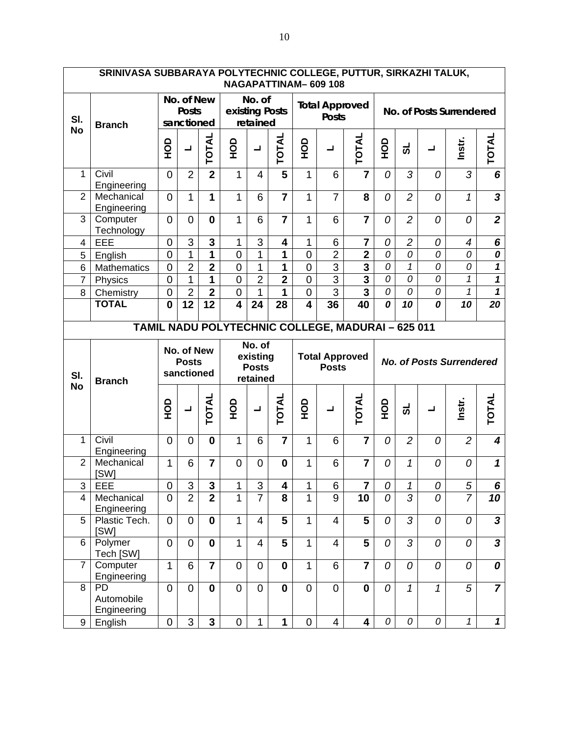|                     | SRINIVASA SUBBARAYA POLYTECHNIC COLLEGE, PUTTUR, SIRKAZHI TALUK, |                             |                                          |                                         |                                  |                                      |                          |                               | <b>NAGAPATTINAM-609108</b>             |                                                   |           |                   |        |                                 |                                |
|---------------------|------------------------------------------------------------------|-----------------------------|------------------------------------------|-----------------------------------------|----------------------------------|--------------------------------------|--------------------------|-------------------------------|----------------------------------------|---------------------------------------------------|-----------|-------------------|--------|---------------------------------|--------------------------------|
| SI.                 | <b>Branch</b>                                                    |                             | No. of New<br><b>Posts</b><br>sanctioned |                                         |                                  | No. of<br>existing Posts<br>retained |                          |                               | <b>Total Approved</b><br><b>Posts</b>  |                                                   |           |                   |        | No. of Posts Surrendered        |                                |
| <b>No</b>           |                                                                  | <b>OCH</b>                  | ┙                                        | TOTAL                                   | <b>OCH</b>                       | ᆜ                                    | TOTAL                    | <b>OCH</b>                    | ┙                                      | TOTAL                                             | <u>go</u> | ಕ                 | ┙      | Instr.                          | <b>TOTAL</b>                   |
| $\mathbf{1}$        | Civil<br>Engineering                                             | $\overline{0}$              | $\overline{2}$                           | $\overline{2}$                          | $\mathbf{1}$                     | 4                                    | 5                        | $\mathbf{1}$                  | 6                                      | $\overline{7}$                                    | 0         | 3                 | 0      | 3                               | 6                              |
| $\overline{2}$      | Mechanical<br>Engineering                                        | $\overline{0}$              | 1                                        | $\mathbf{1}$                            | $\mathbf{1}$                     | 6                                    | $\overline{7}$           | 1                             | $\overline{7}$                         | 8                                                 | 0         | $\overline{2}$    | 0      | $\mathcal I$                    | $\overline{\mathbf{3}}$        |
| 3                   | Computer<br>Technology                                           | $\overline{0}$              | $\overline{0}$                           | $\mathbf{0}$                            | $\mathbf{1}$                     | 6                                    | $\overline{7}$           | 1                             | 6                                      | $\overline{7}$                                    | 0         | $\overline{2}$    | 0      | 0                               | $\overline{2}$                 |
| 4                   | EEE                                                              | $\mathbf 0$                 | 3                                        | 3                                       | 1                                | 3                                    | 4                        | 1                             | 6                                      | 7                                                 | 0         | $\overline{c}$    | 0      | 4                               | 6                              |
| 5                   | English                                                          | $\mathbf 0$                 | 1                                        | 1                                       | $\mathbf 0$                      | 1                                    | 1                        | $\overline{0}$                | $\overline{2}$                         | $\overline{2}$                                    | 0         | 0                 | 0      | 0                               | 0                              |
| $6\phantom{1}6$     | Mathematics                                                      | $\mathbf 0$                 | $\overline{2}$                           | $\overline{2}$                          | $\overline{0}$                   | $\overline{1}$                       | 1                        | $\overline{0}$                | $\overline{3}$                         | $\overline{\mathbf{3}}$                           | 0         | $\mathcal I$      | 0      | 0                               | $\mathbf{1}$                   |
| $\overline{7}$      | Physics                                                          | $\mathbf 0$                 | 1                                        | $\mathbf{1}$                            | $\mathbf 0$                      | $\overline{2}$                       | $\overline{2}$           | $\mathbf 0$                   | $\overline{3}$                         | $\overline{\mathbf{3}}$                           | 0         | 0                 | 0      | $\mathcal{I}$                   | $\overline{\mathbf{1}}$        |
| 8                   | Chemistry                                                        | $\boldsymbol{0}$            | $\overline{2}$                           | $\overline{\mathbf{2}}$                 | $\mathbf 0$                      | $\mathbf{1}$                         | $\mathbf{1}$             | $\overline{0}$                | $\overline{3}$                         | $\overline{\mathbf{3}}$                           | 0         | 0                 | 0      | $\mathbf{1}$                    | $\overline{\mathbf{1}}$        |
|                     | <b>TOTAL</b>                                                     | $\mathbf{0}$                | $1\overline{2}$                          | 12                                      | $\overline{\mathbf{4}}$          | 24                                   | 28                       | $\overline{\mathbf{4}}$       | 36                                     | 40                                                | 0         | 10                | 0      | 10                              | $\overline{20}$                |
|                     |                                                                  |                             |                                          |                                         |                                  |                                      |                          |                               |                                        | TAMIL NADU POLYTECHNIC COLLEGE, MADURAI - 625 011 |           |                   |        |                                 |                                |
|                     |                                                                  |                             |                                          | No. of                                  |                                  |                                      |                          |                               |                                        |                                                   |           |                   |        |                                 |                                |
| SI.                 |                                                                  |                             | No. of New<br><b>Posts</b><br>sanctioned |                                         |                                  | existing<br><b>Posts</b><br>retained |                          |                               | <b>Total Approved</b><br><b>Posts</b>  |                                                   |           |                   |        | <b>No. of Posts Surrendered</b> |                                |
| <b>No</b>           | <b>Branch</b>                                                    | <b>OH</b>                   | ┙                                        | TOTAL                                   | <b>OCH</b>                       | $\blacksquare$                       | <b>TOTAL</b>             | QЯ                            | ┙                                      | <b>TOTAL</b>                                      | <b>OH</b> | ಕ                 |        | Instr.                          | TOTAL                          |
| 1                   | Civil<br>Engineering                                             | $\overline{0}$              | $\overline{0}$                           | $\mathbf{0}$                            | 1                                | 6                                    | $\overline{7}$           | 1                             | 6                                      | $\overline{7}$                                    | 0         | $\overline{2}$    | 0      | $\overline{2}$                  | 4                              |
| $\overline{2}$      | Mechanical                                                       | 1                           | 6                                        | $\overline{7}$                          | $\overline{0}$                   | 0                                    | $\mathbf 0$              | 1                             | 6                                      | $\overline{7}$                                    | 0         | 1                 | 0      | 0                               | $\boldsymbol{\mathcal{L}}$     |
|                     | [SW]                                                             | $\mathbf 0$                 |                                          |                                         | 1                                |                                      | 4                        | 1                             |                                        | 7                                                 | 0         | 1                 |        |                                 |                                |
| 3<br>$\overline{4}$ | EEE<br>Mechanical                                                | $\overline{0}$              | 3<br>$\overline{2}$                      | 3<br>$\overline{2}$                     | $\mathbf{1}$                     | 3<br>$\overline{7}$                  | 8                        | 1                             | 6<br>9                                 | 10                                                | 0         | $\overline{3}$    | 0<br>0 | 5<br>$\overline{7}$             | 6<br>10                        |
| 5                   | Engineering<br>Plastic Tech.                                     | $\mathbf 0$                 | $\overline{0}$                           | $\mathbf{0}$                            | $\mathbf{1}$                     | 4                                    | 5                        | $\mathbf{1}$                  | 4                                      | 5                                                 | 0         | 3                 | 0      | 0                               | $\overline{\mathbf{3}}$        |
| 6                   | [SW]<br>Polymer                                                  | $\overline{0}$              | $\overline{0}$                           | $\mathbf 0$                             | $\mathbf{1}$                     | 4                                    | 5                        | $\mathbf{1}$                  | 4                                      | 5                                                 | 0         | 3                 | 0      | 0                               | $\overline{\mathbf{3}}$        |
| $\overline{7}$      | Tech [SW]<br>Computer                                            | $\mathbf{1}$                | 6                                        | $\overline{7}$                          | $\overline{0}$                   | 0                                    | $\mathbf 0$              | $\mathbf{1}$                  | 6                                      | $\overline{7}$                                    | 0         | 0                 | 0      | 0                               | 0                              |
| 8<br>9              | Engineering<br>PD<br>Automobile<br>Engineering<br>English        | $\mathbf{0}$<br>$\mathbf 0$ | $\overline{0}$<br>3                      | $\mathbf{0}$<br>$\overline{\mathbf{3}}$ | $\mathbf{0}$<br>$\boldsymbol{0}$ | $\overline{0}$<br>$\mathbf{1}$       | $\bf{0}$<br>$\mathbf{1}$ | $\overline{0}$<br>$\mathbf 0$ | $\mathbf 0$<br>$\overline{\mathbf{4}}$ | $\mathbf{0}$<br>4                                 | 0<br>0    | $\mathbf{1}$<br>0 | 1<br>0 | 5<br>$\mathcal{I}$              | $\overline{7}$<br>$\mathbf{1}$ |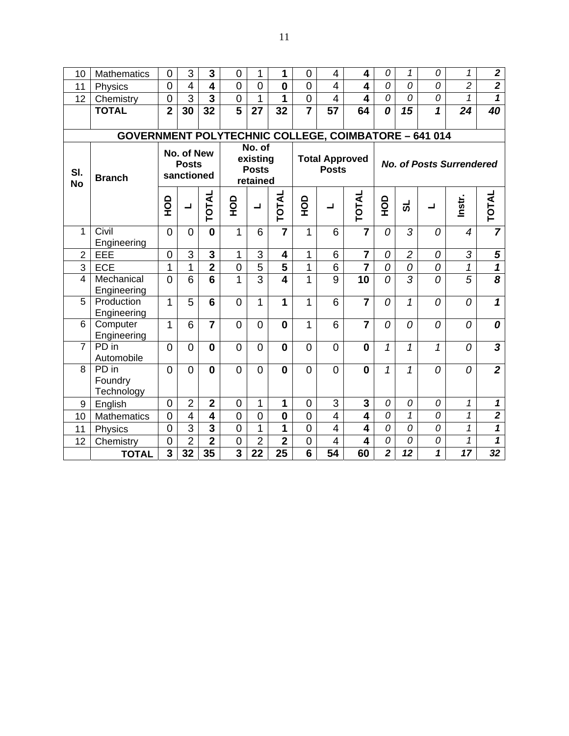| 10               | <b>Mathematics</b>                                          | $\mathbf 0$    | 3                                        | 3                       | $\mathbf 0$             | 1                                              | 1                       | 0              | 4                                     | 4                       | 0                       | 1              | 0              | 1                               | $\mathbf{2}$                |
|------------------|-------------------------------------------------------------|----------------|------------------------------------------|-------------------------|-------------------------|------------------------------------------------|-------------------------|----------------|---------------------------------------|-------------------------|-------------------------|----------------|----------------|---------------------------------|-----------------------------|
| 11               | Physics                                                     | $\overline{0}$ | 4                                        | $\overline{\mathbf{4}}$ | $\overline{0}$          | $\overline{0}$                                 | $\bf{0}$                | $\overline{0}$ | $\overline{\mathcal{L}}$              | $\overline{\mathbf{4}}$ | 0                       | 0              | 0              | $\overline{2}$                  | $\overline{2}$              |
| 12               | Chemistry                                                   | $\mathbf 0$    | $\overline{3}$                           | 3                       | $\mathbf 0$             | 1                                              | 1                       | $\overline{0}$ | $\overline{4}$                        | $\overline{\mathbf{4}}$ | 0                       | 0              | 0              | 1                               | $\mathbf{1}$                |
|                  | <b>TOTAL</b>                                                | $\overline{2}$ | 30                                       | 32                      | $\overline{\mathbf{5}}$ | 27                                             | 32                      |                | 57                                    | 64                      | 0                       | 15             | 1              | 24                              | 40                          |
|                  |                                                             |                |                                          |                         |                         |                                                |                         |                |                                       |                         |                         |                |                |                                 |                             |
|                  | <b>GOVERNMENT POLYTECHNIC COLLEGE, COIMBATORE - 641 014</b> |                |                                          |                         |                         |                                                |                         |                |                                       |                         |                         |                |                |                                 |                             |
| SI.<br><b>No</b> | <b>Branch</b>                                               |                | No. of New<br><b>Posts</b><br>sanctioned |                         |                         | No. of<br>existing<br><b>Posts</b><br>retained |                         |                | <b>Total Approved</b><br><b>Posts</b> |                         |                         |                |                | <b>No. of Posts Surrendered</b> |                             |
|                  |                                                             | $\frac{1}{2}$  | $\overline{\phantom{0}}$                 | TOTAL                   | <b>OCH</b>              | ᆜ                                              | TOTAL                   | $\frac{1}{2}$  | ┙                                     | <b>TOTAL</b>            | $\frac{1}{2}$           | ಹ              | ┙              | Instr.                          | TOTAL                       |
| 1                | Civil<br>Engineering                                        | $\Omega$       | $\Omega$                                 | $\mathbf{0}$            | 1                       | 6                                              | $\overline{7}$          | 1              | 6                                     | $\overline{7}$          | $\overline{O}$          | 3              | 0              | $\overline{\mathcal{A}}$        | $\overline{7}$              |
| $\overline{2}$   | EEE                                                         | $\overline{0}$ | 3                                        | 3                       | 1                       | 3                                              | 4                       | 1              | 6                                     | $\overline{7}$          | 0                       | $\overline{c}$ | 0              | 3                               | 5                           |
| 3                | <b>ECE</b>                                                  | 1              | 1                                        | $\overline{2}$          | $\mathbf 0$             | $\overline{5}$                                 | $\overline{5}$          | 1              | 6                                     | $\overline{\mathbf{7}}$ | 0                       | 0              | $\overline{0}$ | $\overline{\mathcal{I}}$        | $\overline{\mathbf{1}}$     |
| $\overline{4}$   | Mechanical<br>Engineering                                   | $\overline{0}$ | 6                                        | 6                       | $\overline{1}$          | $\overline{3}$                                 | $\overline{\mathbf{4}}$ | 1              | 9                                     | 10                      | 0                       | 3              | 0              | 5                               | $\overline{\boldsymbol{8}}$ |
| 5                | Production<br>Engineering                                   | 1              | 5                                        | 6                       | $\overline{0}$          | 1                                              | 1                       | 1              | 6                                     | $\overline{7}$          | $\overline{0}$          | $\mathcal{I}$  | 0              | 0                               | 1                           |
| 6                | Computer<br>Engineering                                     | 1              | 6                                        | $\overline{7}$          | $\Omega$                | $\overline{0}$                                 | $\bf{0}$                | 1              | 6                                     | $\overline{7}$          | 0                       | 0              | 0              | 0                               | 0                           |
| 7                | PD in<br>Automobile                                         | $\overline{0}$ | $\overline{0}$                           | 0                       | $\overline{0}$          | 0                                              | 0                       | $\overline{0}$ | $\overline{0}$                        | $\mathbf 0$             | $\mathbf{1}$            | 1              | 1              | 0                               | $\overline{\mathbf{3}}$     |
| 8                | PD in<br>Foundry<br>Technology                              | $\overline{0}$ | $\overline{0}$                           | 0                       | $\overline{0}$          | 0                                              | $\bf{0}$                | $\overline{0}$ | $\overline{0}$                        | 0                       | $\mathbf{1}$            | 1              | 0              | 0                               | $\overline{2}$              |
| 9                | English                                                     | $\overline{0}$ | $\overline{2}$                           | $\overline{\mathbf{2}}$ | $\mathbf 0$             | 1                                              | 1                       | $\mathbf 0$    | 3                                     | 3                       | 0                       | 0              | 0              | 1                               | $\mathbf{1}$                |
| 10               | <b>Mathematics</b>                                          | $\mathbf 0$    | 4                                        | 4                       | $\overline{0}$          | $\overline{0}$                                 | $\mathbf 0$             | $\overline{0}$ | $\overline{4}$                        | $\overline{\mathbf{4}}$ | 0                       | $\mathcal{I}$  | 0              | $\mathcal{I}$                   | $\overline{2}$              |
| 11               | Physics                                                     | $\overline{0}$ | $\overline{3}$                           | $\overline{\mathbf{3}}$ | $\overline{0}$          | 1                                              | 1                       | $\overline{0}$ | 4                                     | 4                       | 0                       | 0              | 0              | 1                               | $\mathbf{1}$                |
| 12               | Chemistry                                                   | $\overline{0}$ | $\overline{2}$                           | $\overline{2}$          | $\mathbf 0$             | $\overline{2}$                                 | $\overline{2}$          | $\overline{0}$ | $\overline{\mathbf{4}}$               | $\overline{\mathbf{4}}$ | 0                       | 0              | 0              | 1                               | $\mathbf 1$                 |
|                  | <b>TOTAL</b>                                                | 3              | 32                                       | 35                      | $\overline{3}$          | 22                                             | 25                      | 6              | 54                                    | 60                      | $\overline{\mathbf{2}}$ | 12             | 1              | 17                              | 32                          |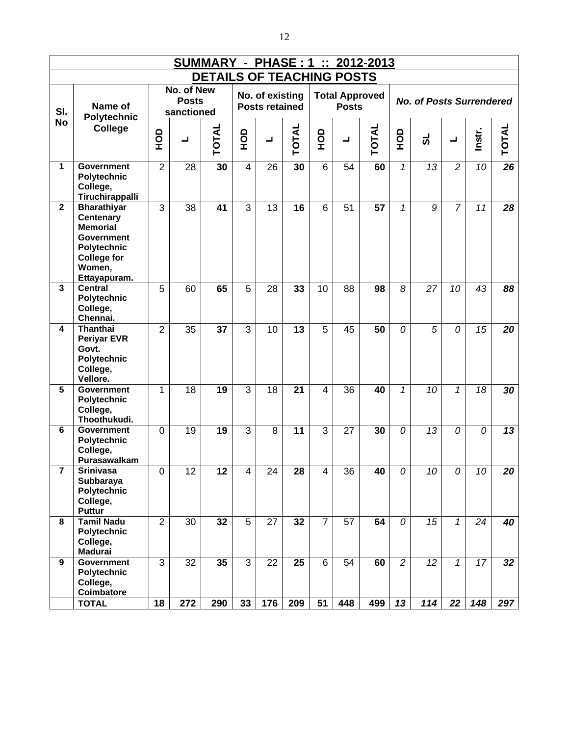|                |                                                                                                                                               |                |                                          |                                  |            |                                          |              |                |              | <b>SUMMARY - PHASE: 1 :: 2012-2013</b> |                |                                 |                          |          |                 |
|----------------|-----------------------------------------------------------------------------------------------------------------------------------------------|----------------|------------------------------------------|----------------------------------|------------|------------------------------------------|--------------|----------------|--------------|----------------------------------------|----------------|---------------------------------|--------------------------|----------|-----------------|
|                |                                                                                                                                               |                |                                          | <b>DETAILS OF TEACHING POSTS</b> |            |                                          |              |                |              |                                        |                |                                 |                          |          |                 |
| SI.            | Name of<br><b>Polytechnic</b>                                                                                                                 |                | No. of New<br><b>Posts</b><br>sanctioned |                                  |            | No. of existing<br><b>Posts retained</b> |              |                | <b>Posts</b> | <b>Total Approved</b>                  |                | <b>No. of Posts Surrendered</b> |                          |          |                 |
| <b>No</b>      | <b>College</b>                                                                                                                                | OOH            | ┙                                        | TOTAL                            | <b>OCH</b> | L                                        | <b>TOTAL</b> | $\frac{1}{2}$  | ┙            | <b>TOTAL</b>                           | $rac{1}{2}$    | ಕ                               | $\overline{\phantom{0}}$ | Instr.   | TOTAL           |
| 1              | <b>Government</b><br>Polytechnic<br>College,<br>Tiruchirappalli                                                                               | $\overline{2}$ | 28                                       | 30                               | 4          | 26                                       | 30           | 6              | 54           | 60                                     | $\mathbf{1}$   | 13                              | $\overline{c}$           | 10       | 26              |
| $\overline{2}$ | <b>Bharathiyar</b><br><b>Centenary</b><br><b>Memorial</b><br><b>Government</b><br>Polytechnic<br><b>College for</b><br>Women,<br>Ettayapuram. | 3              | 38                                       | 41                               | 3          | 13                                       | 16           | 6              | 51           | 57                                     | 1              | 9                               | $\overline{7}$           | 11       | 28              |
| 3              | <b>Central</b><br>Polytechnic<br>College,<br>Chennai.                                                                                         | 5              | 60                                       | 65                               | 5          | 28                                       | 33           | 10             | 88           | 98                                     | 8              | 27                              | 10                       | 43       | 88              |
| 4              | <b>Thanthai</b><br><b>Periyar EVR</b><br>Govt.<br>Polytechnic<br>College,<br>Vellore.                                                         | $\overline{2}$ | 35                                       | 37                               | 3          | 10                                       | 13           | 5              | 45           | 50                                     | 0              | 5                               | 0                        | 15       | 20              |
| 5              | <b>Government</b><br>Polytechnic<br>College,<br>Thoothukudi.                                                                                  | 1              | 18                                       | 19                               | 3          | 18                                       | 21           | $\overline{4}$ | 36           | 40                                     | 1              | 10                              | 1                        | 18       | $\overline{30}$ |
| 6              | <b>Government</b><br>Polytechnic<br>College,<br>Purasawalkam                                                                                  | $\mathbf{0}$   | 19                                       | 19                               | 3          | 8                                        | 11           | 3              | 27           | 30                                     | 0              | 13                              | $\Omega$                 | $\Omega$ | 13              |
| 7              | Srınıvasa<br>Subbaraya<br>Polytechnic<br>College,<br><b>Puttur</b>                                                                            | 0              | 12                                       | 12                               | 4          | 24                                       | 28           | 4              | 36           | 40                                     | 0              | 10                              | 0                        | 10       | 20              |
| 8              | <b>Tamil Nadu</b><br>Polytechnic<br>College,<br><b>Madurai</b>                                                                                | $\overline{2}$ | 30                                       | 32                               | 5          | 27                                       | 32           | $\overline{7}$ | 57           | 64                                     | 0              | 15                              | $\mathbf{1}$             | 24       | 40              |
| 9              | <b>Government</b><br><b>Polytechnic</b><br>College,<br>Coimbatore                                                                             | 3              | 32                                       | 35                               | 3          | 22                                       | 25           | 6              | 54           | 60                                     | $\overline{c}$ | 12                              | $\mathbf{1}$             | 17       | 32              |
|                | <b>TOTAL</b>                                                                                                                                  | 18             | 272                                      | 290                              | 33         | 176                                      | 209          | 51             | 448          | 499                                    | 13             | 114                             | 22                       | 148      | 297             |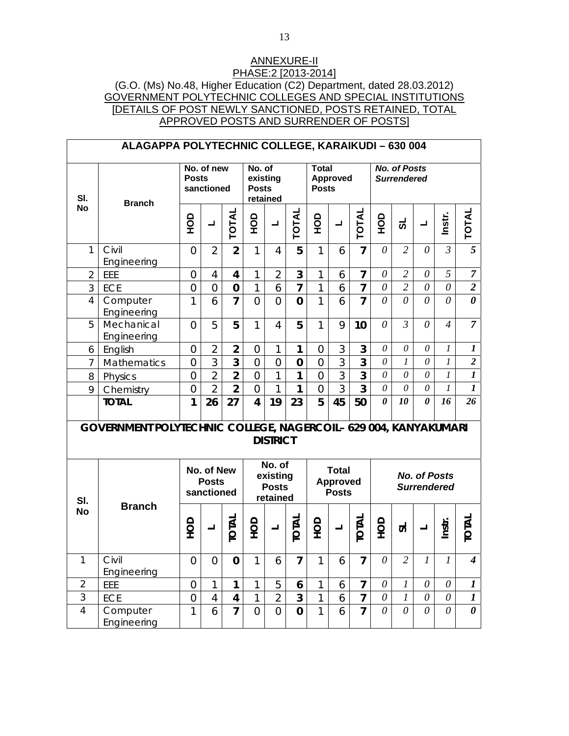## ANNEXURE-II PHASE:2 [2013-2014] (G.O. (Ms) No.48, Higher Education (C2) Department, dated 28.03.2012) GOVERNMENT POLYTECHNIC COLLEGES AND SPECIAL INSTITUTIONS [DETAILS OF POST NEWLY SANCTIONED, POSTS RETAINED, TOTAL APPROVED POSTS AND SURRENDER OF POSTS]

|                | ALAGAPPA POLYTECHNIC COLLEGE, KARAIKUDI - 630 004               |                |                                          |                         |                         |                                                |                |                              |                                                 |                |                       |                                           |                                           |                  |                       |
|----------------|-----------------------------------------------------------------|----------------|------------------------------------------|-------------------------|-------------------------|------------------------------------------------|----------------|------------------------------|-------------------------------------------------|----------------|-----------------------|-------------------------------------------|-------------------------------------------|------------------|-----------------------|
| SI.            | <b>Branch</b>                                                   | <b>Posts</b>   | No. of new<br>sanctioned                 |                         | No. of<br><b>Posts</b>  | existing<br>retained                           |                | <b>Total</b><br><b>Posts</b> | <b>Approved</b>                                 |                |                       | <b>No. of Posts</b><br><b>Surrendered</b> |                                           |                  |                       |
| <b>No</b>      |                                                                 | OOH            | $\overline{\phantom{0}}$                 | TOTAL                   | о<br>Э                  | ┙                                              | <b>TOTAL</b>   | <b>OCH</b>                   | ┙                                               | <b>TOTAL</b>   | <b>ОР</b>             | ಕ                                         | ┙                                         | Instr.           | TOTAL                 |
| $\mathbf{1}$   | Civil<br>Engineering                                            | $\overline{0}$ | $\overline{2}$                           | $\overline{2}$          | $\mathbf{1}$            | $\overline{4}$                                 | 5              | $\mathbf{1}$                 | 6                                               | $\overline{7}$ | $\theta$              | $\overline{2}$                            | $\theta$                                  | $\mathfrak{Z}$   | 5                     |
| $\overline{2}$ | EEE                                                             | $\overline{0}$ | $\overline{4}$                           | 4                       | 1                       | $\overline{2}$                                 | 3              | 1                            | 6                                               | 7              | $\theta$              | $\overline{2}$                            | $\theta$                                  | 5                | $\overline{7}$        |
| $\overline{3}$ | <b>ECE</b>                                                      | $\overline{0}$ | $\overline{0}$                           | $\mathbf 0$             | $\overline{1}$          | 6                                              | $\overline{7}$ | 1                            | 6                                               | $\overline{7}$ | $\theta$              | $\overline{2}$                            | 0                                         | $\theta$         | $\overline{2}$        |
| 4              | Computer<br>Engineering                                         | 1              | 6                                        | $\overline{7}$          | $\overline{0}$          | $\overline{0}$                                 | $\mathbf 0$    | $\mathbf{1}$                 | 6                                               | $\overline{7}$ | 0                     | 0                                         | $\theta$                                  | 0                | $\boldsymbol{\theta}$ |
| 5              | Mechanical<br>Engineering                                       | $\Omega$       | 5                                        | 5                       | 1                       | $\overline{4}$                                 | 5              | $\mathbf{1}$                 | 9                                               | 10             | $\theta$              | $\mathfrak{Z}$                            | $\theta$                                  | $\overline{4}$   | $\overline{7}$        |
| 6              | English                                                         | $\overline{0}$ | $\overline{2}$                           | $\overline{2}$          | 0                       | 1                                              | 1              | $\overline{0}$               | 3                                               | 3              | $\theta$              | 0                                         | $\theta$                                  | $\boldsymbol{l}$ | $\boldsymbol{l}$      |
| $\overline{7}$ | Mathematics                                                     | $\overline{0}$ | 3                                        | 3                       | $\overline{0}$          | $\overline{0}$                                 | $\bf{0}$       | $\overline{0}$               | 3                                               | 3              | 0                     | $\boldsymbol{l}$                          | 0                                         | $\boldsymbol{l}$ | $\overline{2}$        |
| 8              | Physics                                                         | $\overline{0}$ | $\overline{2}$                           | $\overline{2}$          | $\overline{0}$          | 1                                              | 1              | $\overline{0}$               | 3                                               | 3              | $\theta$              | $\theta$                                  | $\theta$                                  | $\boldsymbol{l}$ | $\boldsymbol{l}$      |
| 9              | Chemistry                                                       | $\mathbf{0}$   | $\overline{2}$                           | $\overline{2}$          | $\overline{0}$          | 1                                              | 1              | $\overline{0}$               | 3                                               | 3              | 0                     | $\theta$                                  | $\theta$                                  | 1                | $\boldsymbol{l}$      |
|                | <b>TOTAL</b>                                                    | 1              | 26                                       | 27                      | $\overline{\mathbf{4}}$ | 19                                             | 23             | 5                            | 45                                              | 50             | $\boldsymbol{\theta}$ | 10                                        | $\boldsymbol{\theta}$                     | 16               | 26                    |
|                | GOVERNMENT POLYTECHNIC COLLEGE, NAGERCOIL- 629 004, KANYAKUMARI |                |                                          |                         |                         | <b>DISTRICT</b>                                |                |                              |                                                 |                |                       |                                           |                                           |                  |                       |
| SI.            |                                                                 |                | No. of New<br><b>Posts</b><br>sanctioned |                         |                         | No. of<br>existing<br><b>Posts</b><br>retained |                |                              | <b>Total</b><br><b>Approved</b><br><b>Posts</b> |                |                       |                                           | <b>No. of Posts</b><br><b>Surrendered</b> |                  |                       |
| <b>No</b>      | <b>Branch</b>                                                   | OP             |                                          | <b>TOTAL</b>            | OOH                     |                                                | <b>TOTAL</b>   | OOH                          |                                                 | <b>TOTAL</b>   | OOH                   | ದ                                         |                                           | Instr.           | <b>IOTAL</b>          |
|                | Civil<br>Engineering                                            | $\mathbf{0}$   | $\mathbf{0}$                             | $\bf{0}$                | $\mathbf{1}$            | 6                                              | 7              | $\mathbf{1}$                 | 6                                               | $\overline{7}$ | $\theta$              | $\overline{c}$                            | $\mathfrak{I}$                            | $\mathfrak{I}$   | 4                     |
| $\overline{2}$ | EEE                                                             | $\mathbf{0}$   | $\mathbf{1}$                             | 1                       | $\mathbf{1}$            | 5                                              | 6              | $\mathbf{1}$                 | 6                                               | $\overline{7}$ | $\theta$              | $\boldsymbol{l}$                          | $\theta$                                  | $\theta$         | 1                     |
| 3              | ECE                                                             | $\overline{0}$ | $\overline{4}$                           | $\overline{\mathbf{4}}$ | 1                       | $\overline{2}$                                 | 3              | 1                            | 6                                               | $\overline{7}$ | $\theta$              | $\boldsymbol{l}$                          | $\theta$                                  | $\theta$         | $\boldsymbol{l}$      |
| $\overline{4}$ | Computer<br>Engineering                                         | 1              | 6                                        | $\overline{7}$          | $\overline{0}$          | $\overline{0}$                                 | $\mathbf 0$    | $\mathbf{1}$                 | 6                                               | $\overline{7}$ | $\theta$              | $\theta$                                  | $\theta$                                  | $\theta$         | $\boldsymbol{\theta}$ |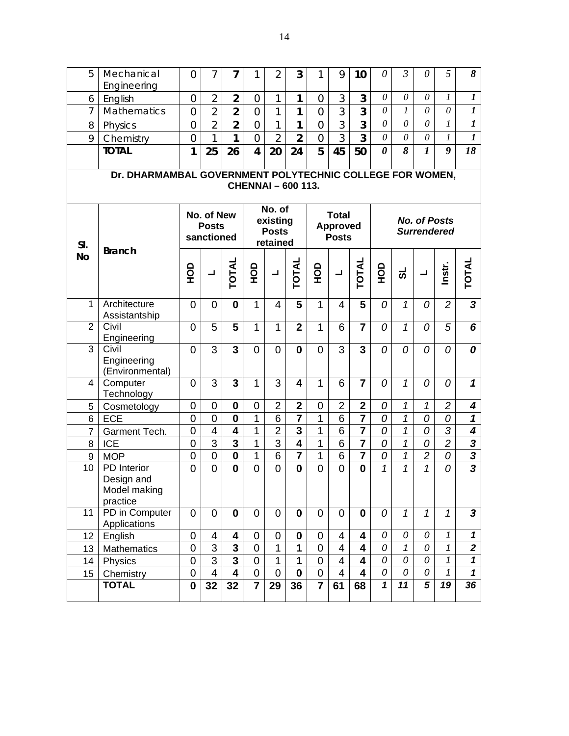| 5                | Mechanical                                               | 0              | 7                                        | 7                       | 1              | $\overline{2}$                                 | 3                         | 1                       | 9                                               | 10                      | $\theta$              | $\mathfrak{Z}$   | 0                                         | 5                | 8                          |
|------------------|----------------------------------------------------------|----------------|------------------------------------------|-------------------------|----------------|------------------------------------------------|---------------------------|-------------------------|-------------------------------------------------|-------------------------|-----------------------|------------------|-------------------------------------------|------------------|----------------------------|
|                  | Engineering                                              | $\overline{0}$ | $\overline{2}$                           | $\overline{2}$          |                |                                                | 1                         | $\overline{0}$          | 3                                               | 3                       | $\theta$              | $\theta$         | $\theta$                                  | $\boldsymbol{l}$ | $\boldsymbol{l}$           |
| 6                | English                                                  |                |                                          |                         | $\overline{0}$ | 1                                              |                           |                         |                                                 |                         |                       |                  |                                           |                  |                            |
| $\overline{7}$   | Mathematics                                              | $\overline{0}$ | $\overline{2}$                           | $\overline{2}$          | $\overline{0}$ | 1                                              | 1                         | $\overline{0}$          | $\overline{3}$                                  | 3                       | $\theta$              | $\boldsymbol{l}$ | 0                                         | $\theta$         | $\boldsymbol{l}$           |
| 8                | Physics                                                  | $\overline{0}$ | $\overline{2}$                           | $\overline{2}$          | $\overline{0}$ | 1                                              | 1                         | $\overline{0}$          | $\overline{3}$                                  | 3                       | $\theta$              | $\theta$         | $\theta$                                  | $\overline{l}$   | $\boldsymbol{l}$           |
| 9                | Chemistry                                                | $\overline{0}$ | 1                                        | 1                       | $\overline{0}$ | $\overline{2}$                                 | $\overline{2}$            | $\overline{0}$          | $\overline{3}$                                  | $\overline{3}$          | $\theta$              | $\theta$         | 0                                         | 1                | $\boldsymbol{l}$           |
|                  | <b>TOTAL</b>                                             | $\mathbf{1}$   | 25                                       | 26                      | 4              | 20                                             | 24                        | 5                       | 45                                              | 50                      | $\boldsymbol{\theta}$ | 8                | $\boldsymbol{l}$                          | 9                | 18                         |
|                  | Dr. DHARMAMBAL GOVERNMENT POLYTECHNIC COLLEGE FOR WOMEN, |                |                                          |                         |                |                                                | <b>CHENNAI - 600 113.</b> |                         |                                                 |                         |                       |                  |                                           |                  |                            |
| SI.              |                                                          |                | No. of New<br><b>Posts</b><br>sanctioned |                         |                | No. of<br>existing<br><b>Posts</b><br>retained |                           |                         | <b>Total</b><br><b>Approved</b><br><b>Posts</b> |                         |                       |                  | <b>No. of Posts</b><br><b>Surrendered</b> |                  |                            |
| <b>No</b>        | <b>Branch</b>                                            | OOH            | ┙                                        | TOTAL                   | <b>OCH</b>     | $\overline{\phantom{0}}$                       | TOTAL                     | <b>OCH</b>              | ┙                                               | <b>TOTAL</b>            | <u>go</u>             | ಕ                | ᆜ                                         | Instr.           | <b>TOTAL</b>               |
| $\mathbf{1}$     | Architecture<br>Assistantship                            | 0              | 0                                        | $\bf{0}$                | 1              | 4                                              | 5                         | 1                       | $\overline{4}$                                  | 5                       | 0                     | 1                | 0                                         | $\overline{c}$   | $\overline{\mathbf{3}}$    |
| $\overline{2}$   | Civil<br>Engineering                                     | 0              | 5                                        | 5                       | 1              | 1                                              | $\overline{2}$            | 1                       | 6                                               | $\overline{7}$          | 0                     | 1                | 0                                         | 5                | 6                          |
| $\overline{3}$   | Civil<br>Engineering<br>(Environmental)                  | 0              | 3                                        | 3                       | $\Omega$       | $\overline{0}$                                 | $\bf{0}$                  | $\overline{0}$          | 3                                               | $\overline{3}$          | 0                     | 0                | 0                                         | 0                | 0                          |
| 4                | Computer<br>Technology                                   | 0              | 3                                        | 3                       | 1              | 3                                              | 4                         | 1                       | 6                                               | $\overline{7}$          | 0                     | $\mathcal I$     | 0                                         | 0                | $\mathbf{1}$               |
| 5                | Cosmetology                                              | 0              | $\mathbf 0$                              | $\mathbf 0$             | 0              | $\overline{2}$                                 | $\mathbf{2}$              | $\mathbf 0$             | $\overline{2}$                                  | $\mathbf{2}$            | 0                     | 1                | $\mathcal I$                              | $\overline{2}$   | 4                          |
| 6                | <b>ECE</b>                                               | $\overline{0}$ | $\overline{0}$                           | $\mathbf 0$             | 1              | 6                                              | $\overline{7}$            | 1                       | 6                                               | $\overline{7}$          | 0                     | 1                | 0                                         | 0                | 1                          |
| $\overline{7}$   | Garment Tech.                                            | 0              | $\overline{4}$                           | 4                       | 1              | $\overline{2}$                                 | $\overline{\mathbf{3}}$   | 1                       | 6                                               | $\overline{7}$          | 0                     | $\mathcal{I}$    | 0                                         | $\overline{3}$   | 4                          |
| 8                | <b>ICE</b>                                               | $\overline{0}$ | $\overline{3}$                           | $\overline{\mathbf{3}}$ | 1              | 3                                              | $\overline{\mathbf{4}}$   | 1                       | 6                                               | $\overline{\mathbf{7}}$ | 0                     | $\mathcal{I}$    | 0                                         | $\overline{2}$   | $\overline{\mathbf{3}}$    |
| $\boldsymbol{9}$ | <b>MOP</b>                                               | 0              | $\mathbf 0$                              | $\mathbf 0$             | 1              | 6                                              | $\overline{7}$            | 1                       | $6\phantom{1}6$                                 | $\overline{7}$          | 0                     | 1                | $\overline{c}$                            | 0                | $\frac{1}{3}$              |
| 10               | PD Interior<br>Design and<br>Model making<br>practice    | $\overline{0}$ | $\overline{0}$                           | $\mathbf{0}$            | $\overline{0}$ | $\overline{0}$                                 | $\mathbf 0$               | $\overline{0}$          | $\overline{0}$                                  | $\mathbf 0$             | $\mathcal I$          | $\mathcal I$     | 1                                         | 0                |                            |
| 11               | PD in Computer<br>Applications                           | $\mathbf 0$    | $\mathbf 0$                              | $\mathbf{0}$            | 0              | $\mathbf 0$                                    | $\mathbf 0$               | $\mathbf 0$             | $\overline{0}$                                  | $\mathbf 0$             | 0                     | $\mathbf{1}$     | $\mathbf{1}$                              | $\mathcal{I}$    | $\mathbf{3}$               |
| 12               | English                                                  | $\mathbf 0$    | 4                                        | 4                       | 0              | $\mathbf 0$                                    | $\boldsymbol{0}$          | $\mathbf 0$             | 4                                               | $\overline{\mathbf{4}}$ | 0                     | 0                | 0                                         | 1                | $\mathbf 1$                |
| 13               | Mathematics                                              | 0              | 3                                        | $\mathbf{3}$            | 0              | 1                                              | 1                         | $\mathbf 0$             | 4                                               | $\overline{\mathbf{4}}$ | 0                     | $\mathbf{1}$     | 0                                         | $\mathcal{I}$    | $\overline{\mathbf{2}}$    |
| 14               | <b>Physics</b>                                           | $\mathbf 0$    | $\overline{3}$                           | $\overline{\mathbf{3}}$ | 0              | 1                                              | 1                         | $\pmb{0}$               | 4                                               | $\overline{\mathbf{4}}$ | 0                     | 0                | 0                                         | $\mathcal{I}$    | $\mathbf{1}$               |
| 15 <sub>15</sub> | Chemistry                                                | 0              | $\overline{4}$                           | $\overline{\mathbf{4}}$ | $\mathbf 0$    | $\mathbf 0$                                    | $\mathbf 0$               | $\mathbf 0$             | $\overline{4}$                                  | $\overline{\mathbf{4}}$ | 0                     | 0                | 0                                         | 1                | $\boldsymbol{\mathcal{L}}$ |
|                  | <b>TOTAL</b>                                             | $\mathbf 0$    | 32                                       | 32                      | $\overline{7}$ | 29                                             | 36                        | $\overline{\mathbf{7}}$ | 61                                              | 68                      | $\mathbf{1}$          | 11               | 5                                         | 19               | 36                         |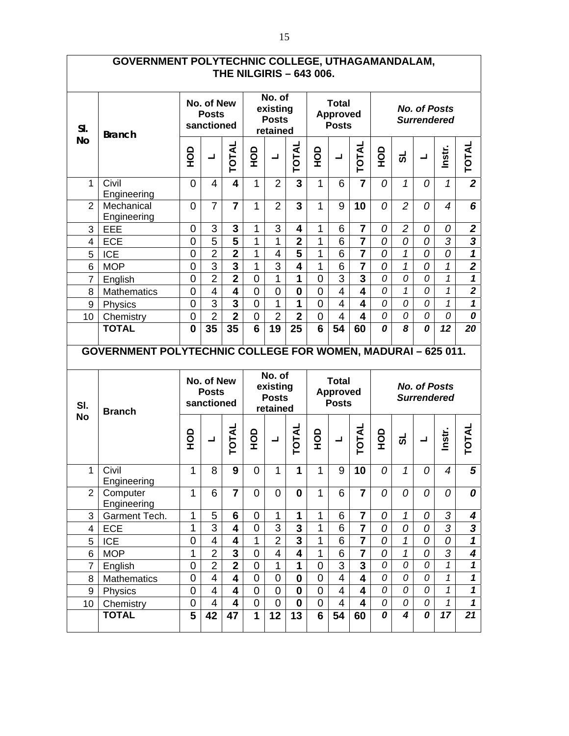|                          | GOVERNMENT POLYTECHNIC COLLEGE, UTHAGAMANDALAM,                     |                                          |                                          | <b>THE NILGIRIS - 643 006.</b> |                |                                                |                         |                |                                                 |                         |             |                |                                           |                |                            |
|--------------------------|---------------------------------------------------------------------|------------------------------------------|------------------------------------------|--------------------------------|----------------|------------------------------------------------|-------------------------|----------------|-------------------------------------------------|-------------------------|-------------|----------------|-------------------------------------------|----------------|----------------------------|
| SI.                      | <b>Branch</b>                                                       |                                          | No. of New<br><b>Posts</b><br>sanctioned |                                |                | No. of<br>existing<br><b>Posts</b><br>retained |                         |                | <b>Total</b><br><b>Approved</b><br><b>Posts</b> |                         |             |                | <b>No. of Posts</b><br><b>Surrendered</b> |                |                            |
| <b>No</b>                |                                                                     | <b>OCH</b>                               | $\overline{\phantom{a}}$                 | <b>TOTAL</b>                   | о<br>Э         | ᆜ                                              | <b>TOTAL</b>            | <b>ОР</b>      | ᆜ                                               | <b>TOTAL</b>            | $rac{1}{2}$ | ಕ              | ᆜ                                         | Instr.         | <b>TOTAL</b>               |
| 1                        | Civil<br>Engineering                                                | $\overline{0}$                           | 4                                        | $\overline{\mathbf{4}}$        | $\mathbf{1}$   | 2                                              | 3                       | 1              | 6                                               | $\overline{7}$          | 0           | 1              | 0                                         | $\mathcal I$   | $\overline{2}$             |
| $\overline{2}$           | Mechanical<br>Engineering                                           | $\overline{0}$                           | $\overline{7}$                           | $\overline{7}$                 | $\mathbf{1}$   | $\overline{2}$                                 | 3                       | 1              | 9                                               | 10                      | 0           | $\overline{2}$ | 0                                         | $\overline{4}$ | 6                          |
| 3                        | EEE                                                                 | 0                                        | 3                                        | 3                              | 1              | 3                                              | 4                       | 1              | 6                                               | $\overline{7}$          | 0           | $\overline{2}$ | 0                                         | 0              | $\boldsymbol{2}$           |
| $\overline{\mathcal{A}}$ | <b>ECE</b>                                                          | 0                                        | 5                                        | 5                              | 1              | $\mathbf{1}$                                   | $\overline{2}$          | 1              | 6                                               | $\overline{7}$          | 0           | 0              | $\overline{O}$                            | 3              | 3                          |
| 5                        | <b>ICE</b>                                                          | 0                                        | $\overline{2}$                           | $\overline{2}$                 | 1              | 4                                              | 5                       | 1              | 6                                               | $\overline{7}$          | 0           | $\mathbf{1}$   | 0                                         | 0              | $\mathbf 1$                |
| $6\phantom{1}$           | <b>MOP</b>                                                          | 0                                        | 3                                        | 3                              | 1              | 3                                              | 4                       | 1              | 6                                               | $\overline{7}$          | 0           | $\mathcal{I}$  | 0                                         | $\mathcal I$   | $\overline{\mathbf{2}}$    |
| $\overline{7}$           | English                                                             | 0                                        | $\overline{2}$                           | $\overline{2}$                 | $\mathbf 0$    | $\mathbf{1}$                                   | 1                       | 0              | 3                                               | 3                       | 0           | 0              | 0                                         | $\mathbf{1}$   | $\mathbf{1}$               |
| 8                        | <b>Mathematics</b>                                                  | $\overline{0}$                           | $\overline{4}$                           | 4                              | $\mathbf 0$    | $\mathbf 0$                                    | $\mathbf 0$             | $\overline{0}$ | 4                                               | $\overline{\mathbf{4}}$ | 0           | $\mathbf{1}$   | 0                                         | $\mathbf{1}$   | $\overline{2}$             |
| 9                        | Physics                                                             | 0                                        | 3                                        | $\overline{\mathbf{3}}$        | $\mathbf 0$    | $\mathbf{1}$                                   | 1                       | $\overline{0}$ | $\overline{4}$                                  | $\overline{\mathbf{4}}$ | 0           | 0              | 0                                         | $\mathbf{1}$   | $\mathbf{1}$               |
| 10                       | Chemistry                                                           | $\mathbf 0$                              | $\overline{2}$                           | $\overline{\mathbf{2}}$        | $\mathbf 0$    | $\overline{2}$                                 | $\overline{\mathbf{2}}$ | 0              | 4                                               | $\overline{\mathbf{4}}$ | 0           | 0              | 0                                         | 0              | 0                          |
|                          | <b>TOTAL</b>                                                        | $\bf{0}$                                 | 35                                       | 35                             | 6              | 19                                             | 25                      | 6              | 54                                              | 60                      | 0           | 8              | 0                                         | 12             | 20                         |
|                          |                                                                     |                                          |                                          |                                |                |                                                |                         |                |                                                 |                         |             |                |                                           |                |                            |
|                          | <b>GOVERNMENT POLYTECHNIC COLLEGE FOR WOMEN, MADURAI - 625 011.</b> | No. of New<br><b>Posts</b><br>sanctioned |                                          |                                |                |                                                |                         |                |                                                 |                         |             |                |                                           |                |                            |
| SI.                      | <b>Branch</b>                                                       |                                          |                                          |                                |                | No. of<br>existing<br><b>Posts</b><br>retained |                         |                | <b>Total</b><br><b>Approved</b><br><b>Posts</b> |                         |             |                | <b>No. of Posts</b><br><b>Surrendered</b> |                |                            |
| <b>No</b>                |                                                                     | <b>OCH</b>                               | ᆜ                                        | <b>TOTAL</b>                   | <b>OCH</b>     | ᆜ                                              | <b>TOTAL</b>            | <b>OCH</b>     | ᆜ                                               | <b>TOTAL</b>            | <b>OH</b>   | ಕ              | ᆜ                                         | Instr.         | <b>TOTAL</b>               |
| 1                        | Civil                                                               | 1                                        | 8                                        | 9                              | 0              | 1                                              | 1                       | 1              | 9                                               | 10                      | 0           | 1              | 0                                         | $\overline{4}$ | 5                          |
| $\overline{2}$           | Engineering<br>Computer<br>Engineering                              | $\mathbf{1}$                             | 6                                        | $\overline{7}$                 | $\overline{0}$ | $\mathbf 0$                                    | $\mathbf 0$             | $\mathbf{1}$   | 6                                               | $\overline{7}$          | 0           | 0              | 0                                         | 0              | 0                          |
| 3                        | Garment Tech.                                                       | 1                                        | 5                                        | 6                              | $\mathbf 0$    | $\mathbf{1}$                                   | 1                       | $\mathbf 1$    | 6                                               | 7                       | 0           | $\mathbf{1}$   | 0                                         | 3              | 4                          |
| 4                        | <b>ECE</b>                                                          | 1                                        | $\overline{3}$                           | 4                              | $\mathbf 0$    | 3                                              | 3                       | $\mathbf{1}$   | 6                                               | $\overline{7}$          | 0           | 0              | 0                                         | $\overline{3}$ | $\overline{\mathbf{3}}$    |
| 5                        | <b>ICE</b>                                                          | 0                                        | 4                                        | 4                              | 1              | $\overline{2}$                                 | 3                       | 1              | 6                                               | 7                       | 0           | $\mathcal{I}$  | 0                                         | 0              | $\boldsymbol{\mathcal{L}}$ |
| $\,6\,$                  | <b>MOP</b>                                                          | 1                                        | $\overline{2}$                           | 3                              | $\mathbf 0$    | 4                                              | 4                       | $\mathbf{1}$   | 6                                               | $\overline{7}$          | 0           | $\mathcal I$   | 0                                         | 3              | 4                          |
| $\overline{7}$           |                                                                     | $\boldsymbol{0}$                         | $\overline{2}$                           | $\overline{\mathbf{2}}$        | $\mathbf 0$    | $\mathbf{1}$                                   | $\mathbf{1}$            | $\mathbf 0$    | 3                                               | $\overline{\mathbf{3}}$ | 0           | 0              | 0                                         | $\mathbf{1}$   | $\mathbf{1}$               |
| 8                        | English                                                             | $\mathbf 0$                              | $\overline{\mathbf{4}}$                  | 4                              | $\mathbf 0$    | 0                                              | $\mathbf 0$             | 0              | 4                                               | $\overline{\mathbf{4}}$ | 0           | 0              | 0                                         | $\mathbf{1}$   | $\mathbf 1$                |
| $\boldsymbol{9}$         | Mathematics<br>Physics                                              | $\boldsymbol{0}$                         | 4                                        | 4                              | $\mathbf 0$    | $\mathbf 0$                                    | $\mathbf 0$             | 0              | 4                                               | 4                       | 0           | 0              | 0                                         | $\mathbf{1}$   | $\boldsymbol{\mathcal{L}}$ |
| 10                       | Chemistry                                                           | $\mathsf 0$                              | 4                                        | 4                              | $\mathbf 0$    | $\mathbf 0$                                    | $\mathbf 0$             | $\overline{0}$ | 4                                               | $\overline{\mathbf{4}}$ | 0           | 0              | 0                                         | $\mathbf{1}$   | $\mathbf{1}$               |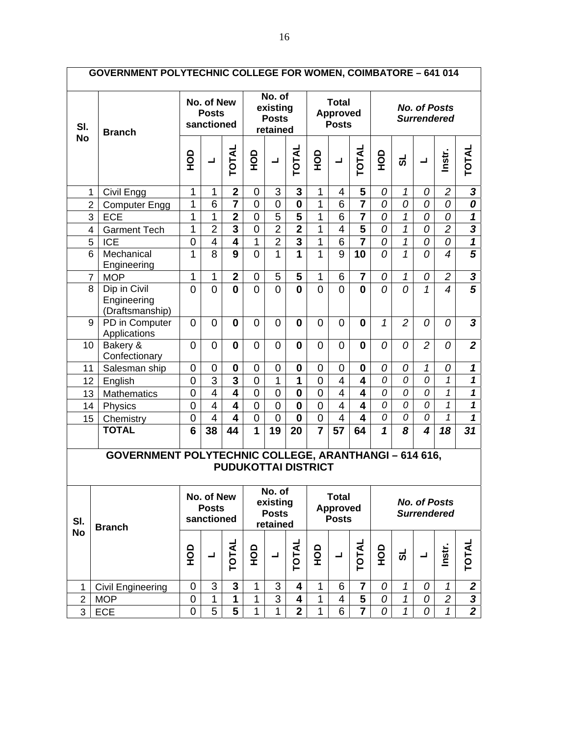| <b>GOVERNMENT POLYTECHNIC COLLEGE FOR WOMEN, COIMBATORE - 641 014</b> |                                                              |                |                                          |                            |                |                                                |                         |                |                                                 |                         |              |                |                                           |                          |                         |
|-----------------------------------------------------------------------|--------------------------------------------------------------|----------------|------------------------------------------|----------------------------|----------------|------------------------------------------------|-------------------------|----------------|-------------------------------------------------|-------------------------|--------------|----------------|-------------------------------------------|--------------------------|-------------------------|
| SI.                                                                   | <b>Branch</b>                                                |                | No. of New<br><b>Posts</b><br>sanctioned |                            |                | No. of<br>existing<br><b>Posts</b><br>retained |                         |                | <b>Total</b><br><b>Approved</b><br><b>Posts</b> |                         |              |                | <b>No. of Posts</b><br><b>Surrendered</b> |                          |                         |
| <b>No</b>                                                             |                                                              | OOH            | ┙                                        | TOTAL                      | о<br>Э         | ┙                                              | <b>TOTAL</b>            | <b>OCH</b>     | ᆜ                                               | TOTAL                   | <b>OCH</b>   | ಕ              | ᆜ                                         | Instr.                   | <b>TOTAL</b>            |
| $\mathbf{1}$                                                          | Civil Engg                                                   | 1              | 1                                        | $\mathbf{2}$               | 0              | 3                                              | 3                       | 1              | 4                                               | 5                       | 0            | $\mathcal I$   | 0                                         | $\overline{c}$           | $\boldsymbol{3}$        |
| $\overline{2}$                                                        | <b>Computer Engg</b>                                         | 1              | 6                                        | $\overline{7}$             | $\overline{0}$ | $\overline{0}$                                 | $\mathbf 0$             | 1              | 6                                               | $\overline{7}$          | 0            | 0              | 0                                         | 0                        | 0                       |
| 3                                                                     | <b>ECE</b>                                                   | 1              | 1                                        | $\overline{\mathbf{2}}$    | $\overline{0}$ | $\overline{5}$                                 | 5                       | $\overline{1}$ | 6                                               | $\overline{7}$          | 0            | $\mathcal{I}$  | 0                                         | 0                        | 1                       |
| 4                                                                     | <b>Garment Tech</b>                                          | 1              | $\overline{2}$                           | $\overline{\mathbf{3}}$    | $\overline{0}$ | $\overline{2}$                                 | $\overline{2}$          | 1              | $\overline{4}$                                  | $\overline{5}$          | 0            | 1              | 0                                         | $\overline{2}$           | $\overline{\mathbf{3}}$ |
| 5                                                                     | <b>ICE</b>                                                   | 0              | 4                                        | $\overline{\mathbf{4}}$    | 1              | $\overline{2}$                                 | $\overline{\mathbf{3}}$ | 1              | 6                                               | $\overline{\mathbf{7}}$ | 0            | 1              | 0                                         | 0                        | $\overline{\mathbf{1}}$ |
| 6                                                                     | Mechanical<br>Engineering                                    | 1              | 8                                        | $\overline{9}$             | $\overline{0}$ | 1                                              | $\overline{1}$          | 1              | 9                                               | 10                      | 0            | 1              | $\theta$                                  | 4                        | $\overline{\mathbf{5}}$ |
| $\overline{7}$                                                        | <b>MOP</b>                                                   | 1              | 1                                        | $\overline{2}$             | 0              | 5                                              | 5                       | 1              | 6                                               | $\overline{7}$          | 0            | $\mathcal I$   | 0                                         | $\overline{2}$           | $\mathbf{3}$            |
| 8                                                                     | Dip in Civil<br>Engineering<br>(Draftsmanship)               | $\overline{0}$ | $\overline{0}$                           | $\mathbf 0$                | $\overline{0}$ | $\overline{0}$                                 | $\mathbf{0}$            | $\overline{0}$ | $\overline{0}$                                  | $\bf{0}$                | 0            | 0              | $\mathbf{1}$                              | $\overline{\mathcal{A}}$ | $\overline{5}$          |
| 9                                                                     | PD in Computer<br>Applications                               | $\overline{0}$ | $\overline{0}$                           | 0                          | 0              | 0                                              | 0                       | 0              | 0                                               | $\bf{0}$                | $\mathcal I$ | $\overline{2}$ | 0                                         | 0                        | 3                       |
| 10                                                                    | Bakery &<br>Confectionary                                    | 0              | $\overline{0}$                           | $\bf{0}$                   | $\overline{0}$ | 0                                              | $\bf{0}$                | $\overline{0}$ | $\overline{0}$                                  | $\bf{0}$                | 0            | 0              | $\overline{2}$                            | 0                        | $\overline{2}$          |
| 11                                                                    | Salesman ship                                                | $\mathbf 0$    | 0                                        | $\bf{0}$                   | 0              | 0                                              | $\bf{0}$                | 0              | 0                                               | 0                       | 0            | 0              | $\mathcal I$                              | 0                        | 1                       |
| 12                                                                    | English                                                      | $\mathbf 0$    | $\overline{3}$                           | $\overline{\mathbf{3}}$    | $\mathbf 0$    | 1                                              | $\mathbf{1}$            | $\mathbf 0$    | 4                                               | $\overline{\mathbf{4}}$ | 0            | 0              | 0                                         | 1                        | 1                       |
| 13                                                                    | Mathematics                                                  | $\mathbf 0$    | $\overline{\mathbf{4}}$                  | $\overline{\mathbf{4}}$    | $\overline{0}$ | $\mathbf 0$                                    | $\bf{0}$                | $\overline{0}$ | $\overline{4}$                                  | 4                       | 0            | 0              | 0                                         | $\mathbf{1}$             | 1                       |
| 14                                                                    | Physics                                                      | $\overline{0}$ | $\overline{4}$                           | $\overline{\mathbf{4}}$    | $\overline{0}$ | $\mathbf 0$                                    | $\mathbf 0$             | $\overline{0}$ | $\overline{4}$                                  | $\overline{\mathbf{4}}$ | 0            | 0              | 0                                         | $\mathcal{I}$            | 1                       |
| 15                                                                    | Chemistry                                                    | $\overline{0}$ | $\overline{4}$                           | $\overline{\mathbf{4}}$    | $\mathbf 0$    | $\overline{0}$                                 | $\bf{0}$                | $\overline{0}$ | $\overline{\mathcal{L}}$                        | 4                       | 0            | 0              | 0                                         | 1                        | 1                       |
|                                                                       | <b>TOTAL</b>                                                 | $6\phantom{1}$ | 38                                       | 44                         | 1              | 19                                             | 20                      | $\overline{7}$ | 57                                              | 64                      | 1            | 8              | $\boldsymbol{4}$                          | 18                       | 31                      |
|                                                                       | <b>GOVERNMENT POLYTECHNIC COLLEGE, ARANTHANGI - 614 616,</b> |                |                                          | <b>PUDUKOTTAI DISTRICT</b> |                |                                                |                         |                |                                                 |                         |              |                |                                           |                          |                         |
| SI.                                                                   | <b>Branch</b>                                                |                | No. of New<br><b>Posts</b><br>sanctioned |                            |                | No. of<br>existing<br><b>Posts</b><br>retained |                         |                | <b>Total</b><br><b>Approved</b><br><b>Posts</b> |                         |              |                | <b>No. of Posts</b><br><b>Surrendered</b> |                          |                         |
| <b>No</b>                                                             |                                                              | OOH            | $\blacksquare$                           | <b>TOTAL</b>               | <b>OCH</b>     | $\blacksquare$                                 | TOTAL                   | $\frac{1}{2}$  | $\blacksquare$                                  | <b>TOTAL</b>            | <b>OCH</b>   | ಕ              | ᆜ                                         | Instr.                   | TOTAL                   |
| 1                                                                     | <b>Civil Engineering</b>                                     | 0              | 3                                        | $\mathbf 3$                | 1              | 3                                              | 4                       | 1              | 6                                               | 7                       | 0            | 1              | 0                                         | 1                        | 2                       |
| $\overline{2}$                                                        | <b>MOP</b>                                                   | 0              | 1                                        | 1                          | $\mathbf{1}$   | 3                                              | $\overline{\mathbf{4}}$ | $\mathbf 1$    | 4                                               | 5                       | 0            | $\mathbf{1}$   | 0                                         | $\overline{c}$           | $\overline{\mathbf{3}}$ |
| 3                                                                     | ECE                                                          | 0              | 5                                        | 5                          | $\mathbf{1}$   | $\mathbf{1}$                                   | $\overline{2}$          | $\mathbf{1}$   | 6                                               | $\overline{7}$          | 0            | $\mathcal I$   | 0                                         | $\mathbf{1}$             | $\overline{\mathbf{2}}$ |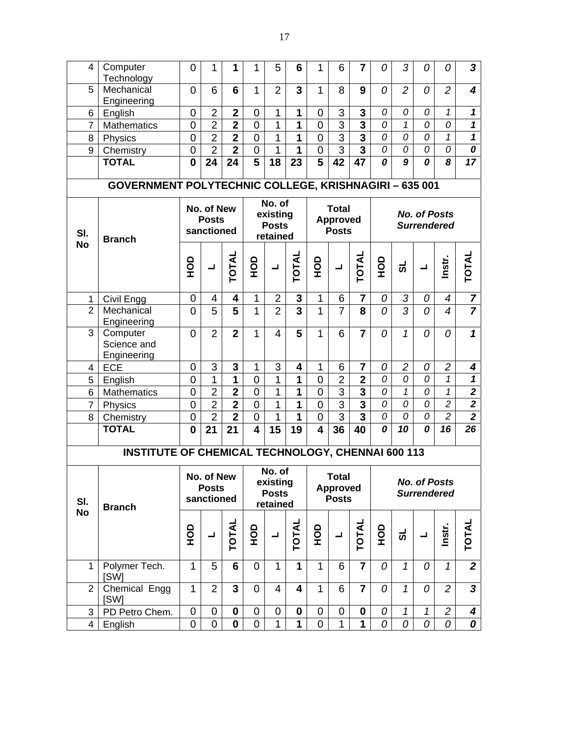| 4                | Computer<br>Technology                                | 0              | 1                                        | 1                       | 1                       | 5                                              | 6                       | 1                       | 6                                               | 7                       | 0              | 3              | 0                                         | 0              | $\mathbf{3}$            |
|------------------|-------------------------------------------------------|----------------|------------------------------------------|-------------------------|-------------------------|------------------------------------------------|-------------------------|-------------------------|-------------------------------------------------|-------------------------|----------------|----------------|-------------------------------------------|----------------|-------------------------|
| 5                | Mechanical<br>Engineering                             | 0              | 6                                        | 6                       | 1                       | $\overline{2}$                                 | 3                       | $\mathbf{1}$            | 8                                               | 9                       | 0              | $\overline{2}$ | 0                                         | $\overline{2}$ | $\boldsymbol{4}$        |
| 6                | English                                               | 0              | $\overline{2}$                           | $\mathbf 2$             | 0                       | 1                                              | 1                       | 0                       | 3                                               | 3                       | 0              | 0              | 0                                         | 1              | $\mathbf{1}$            |
| $\overline{7}$   | <b>Mathematics</b>                                    | 0              | $\overline{2}$                           | $\mathbf 2$             | $\overline{0}$          | 1                                              | $\mathbf{1}$            | $\overline{0}$          | 3                                               | $\overline{3}$          | $\overline{O}$ | $\mathbf{1}$   | $\Omega$                                  | 0              | $\mathbf{1}$            |
| 8                | Physics                                               | 0              | $\overline{2}$                           | $\overline{2}$          | 0                       | 1                                              | 1                       | $\overline{0}$          | 3                                               | $\overline{3}$          | 0              | 0              | 0                                         | 1              | $\mathbf{1}$            |
| 9                | Chemistry                                             | $\mathbf 0$    | $\overline{2}$                           | $\overline{\mathbf{2}}$ | $\overline{0}$          | $\mathbf{1}$                                   | $\mathbf{1}$            | $\mathbf 0$             | $\overline{3}$                                  | $\overline{3}$          | 0              | 0              | 0                                         | 0              | 0                       |
|                  | <b>TOTAL</b>                                          | $\bf{0}$       | 24                                       | 24                      | $\overline{\mathbf{5}}$ | 18                                             | 23                      | $\overline{5}$          | 42                                              | 47                      | 0              | $\overline{g}$ | 0                                         | 8              | 17                      |
|                  | GOVERNMENT POLYTECHNIC COLLEGE, KRISHNAGIRI - 635 001 |                |                                          |                         |                         |                                                |                         |                         |                                                 |                         |                |                |                                           |                |                         |
| SI.              | <b>Branch</b>                                         |                | No. of New<br><b>Posts</b><br>sanctioned |                         |                         | No. of<br>existing<br><b>Posts</b><br>retained |                         |                         | <b>Total</b><br><b>Approved</b><br><b>Posts</b> |                         |                |                | <b>No. of Posts</b><br><b>Surrendered</b> |                |                         |
| <b>No</b>        |                                                       | OOH            | ┙                                        | <b>TOTAL</b>            | о<br>Э                  | ᆜ                                              | <b>TOTAL</b>            | о<br>Э                  | ᆜ                                               | <b>TOTAL</b>            | <b>OCH</b>     | ಕ              | ┙                                         | Instr.         | <b>TOTAL</b>            |
| $\mathbf{1}$     | Civil Engg                                            | 0              | 4                                        | 4                       | $\mathbf{1}$            | $\overline{2}$                                 | 3                       | 1                       | 6                                               | $\overline{7}$          | 0              | 3              | 0                                         | $\overline{4}$ | $\overline{7}$          |
| $\overline{2}$   | Mechanical<br>Engineering                             | 0              | 5                                        | 5                       | 1                       | $\overline{2}$                                 | $\overline{\mathbf{3}}$ | $\mathbf{1}$            | $\overline{7}$                                  | 8                       | $\Omega$       | 3              | 0                                         | $\overline{4}$ | $\overline{7}$          |
| $\overline{3}$   | Computer<br>Science and<br>Engineering                | 0              | $\overline{2}$                           | $\overline{2}$          | $\mathbf{1}$            | $\overline{4}$                                 | 5                       | $\mathbf{1}$            | 6                                               | $\overline{7}$          | 0              | $\mathbf{1}$   | 0                                         | $\overline{O}$ | $\mathbf{1}$            |
| 4                | ECE                                                   | $\mathbf 0$    | 3                                        | 3                       | $\mathbf{1}$            | 3                                              | 4                       | $\mathbf{1}$            | 6                                               | $\overline{7}$          | 0              | $\overline{c}$ | 0                                         | $\overline{c}$ | 4                       |
| 5                | English                                               | $\mathbf 0$    | 1                                        | 1                       | $\overline{0}$          | $\mathbf{1}$                                   | 1                       | $\mathbf 0$             | $\overline{2}$                                  | $\overline{2}$          | 0              | 0              | 0                                         | $\mathcal I$   | $\mathbf{1}$            |
| 6                | <b>Mathematics</b>                                    | $\mathbf 0$    | $\overline{2}$                           | $\overline{2}$          | 0                       | 1                                              | 1                       | $\mathbf 0$             | 3                                               | $\overline{\mathbf{3}}$ | 0              | $\mathcal I$   | 0                                         | $\mathcal I$   | $\overline{\mathbf{2}}$ |
| $\overline{7}$   | Physics                                               | $\mathbf 0$    | $\overline{2}$                           | $\overline{\mathbf{2}}$ | $\mathbf 0$             | $\mathbf 1$                                    | 1                       | $\mathbf 0$             | $\overline{3}$                                  | $\overline{3}$          | 0              | 0              | 0                                         | $\overline{c}$ | $\overline{\mathbf{2}}$ |
| 8                | Chemistry                                             | $\mathbf 0$    | $\overline{2}$                           | $\overline{\mathbf{2}}$ | 0                       | $\mathbf{1}$                                   | 1                       | $\mathbf 0$             | $\overline{3}$                                  | $\overline{3}$          | 0              | 0              | 0                                         | $\overline{2}$ | $\overline{2}$          |
|                  | <b>TOTAL</b>                                          | $\mathbf 0$    | 21                                       | 21                      | $\overline{\mathbf{4}}$ | 15                                             | 19                      | $\overline{\mathbf{4}}$ | 36                                              | 40                      | 0              | 10             | 0                                         | 16             | 26                      |
|                  | INSTITUTE OF CHEMICAL TECHNOLOGY, CHENNAI 600 113     |                |                                          |                         |                         |                                                |                         |                         |                                                 |                         |                |                |                                           |                |                         |
| SI.<br><b>No</b> | <b>Branch</b>                                         |                | No. of New<br><b>Posts</b><br>sanctioned |                         |                         | No. of<br>existing<br><b>Posts</b><br>retained |                         |                         | <b>Total</b><br><b>Approved</b><br><b>Posts</b> |                         |                |                | <b>No. of Posts</b><br><b>Surrendered</b> |                |                         |
|                  |                                                       | <b>OCH</b>     | ᆜ                                        | <b>TOTAL</b>            | <b>OH</b>               | ᆜ                                              | TOTAL                   | о<br>Э                  | ᆜ                                               | <b>TOTAL</b>            | <b>ОР</b>      | ಕ              | ᆜ                                         | Instr.         | TOTAL                   |
| 1                | Polymer Tech.<br><b>ISWI</b>                          | $\mathbf{1}$   | 5                                        | 6                       | $\overline{0}$          | $\mathbf{1}$                                   | $\mathbf{1}$            | $\mathbf{1}$            | 6                                               | $\overline{7}$          | 0              | $\mathbf{1}$   | 0                                         | $\mathcal I$   | $\overline{2}$          |
| $\overline{2}$   | Chemical Engg<br>[SW]                                 | $\mathbf{1}$   | $\overline{2}$                           | 3                       | 0                       | 4                                              | $\overline{\mathbf{4}}$ | $\mathbf{1}$            | 6                                               | 7                       | 0              | $\mathbf{1}$   | 0                                         | $\overline{2}$ | $\mathbf{3}$            |
| 3                | PD Petro Chem.                                        | $\overline{0}$ | $\mathbf 0$                              | $\mathbf 0$             | 0                       | 0                                              | $\mathbf 0$             | $\overline{0}$          | 0                                               | $\mathbf 0$             | 0              | $\mathbf{1}$   | $\mathbf{1}$                              | $\overline{2}$ | $\overline{\mathbf{4}}$ |
| 4                | English                                               | 0              | $\overline{0}$                           | $\mathbf 0$             | 0                       | $\mathbf{1}$                                   | 1                       | $\overline{0}$          | 1                                               | 1                       | 0              | 0              | 0                                         | 0              | 0                       |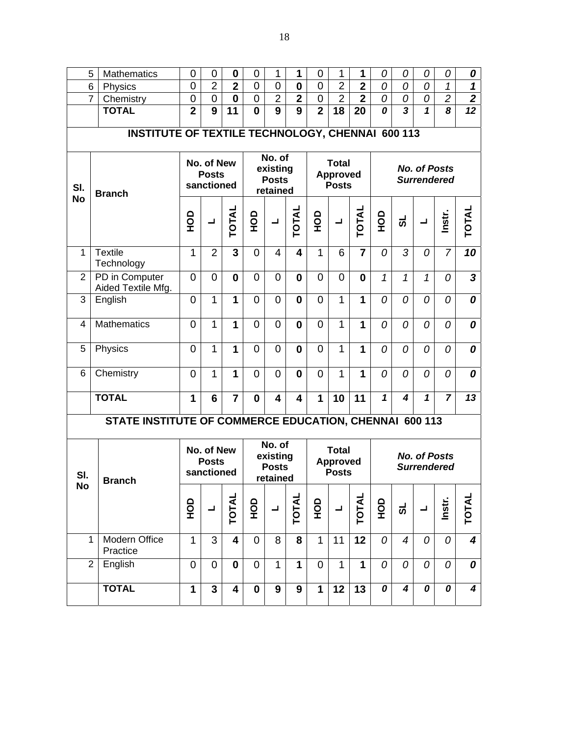| 5              | Mathematics                                             | 0              | 0                                        | $\bf{0}$                | 0              | 1                                              | 1                       | 0                | 1                                               | 1                       | 0                | 0                       | 0                                         | 0                           | 0                          |
|----------------|---------------------------------------------------------|----------------|------------------------------------------|-------------------------|----------------|------------------------------------------------|-------------------------|------------------|-------------------------------------------------|-------------------------|------------------|-------------------------|-------------------------------------------|-----------------------------|----------------------------|
| 6              | Physics                                                 | 0              | $\overline{2}$                           | $\overline{\mathbf{2}}$ | $\overline{0}$ | 0                                              | $\mathbf 0$             | $\boldsymbol{0}$ | $\overline{2}$                                  | $\overline{\mathbf{2}}$ | 0                | 0                       | 0                                         | $\mathcal I$                | $\boldsymbol{\mathcal{L}}$ |
| 7              | Chemistry                                               | $\overline{0}$ | $\mathbf 0$                              | $\bf{0}$                | $\mathbf 0$    | $\overline{2}$                                 | $\overline{\mathbf{2}}$ | $\boldsymbol{0}$ | $\overline{2}$                                  | $\overline{2}$          | 0                | 0                       | 0                                         | $\overline{c}$              | $\boldsymbol{2}$           |
|                | <b>TOTAL</b>                                            | $\overline{2}$ | $\overline{9}$                           | 11                      | $\mathbf 0$    | $\overline{9}$                                 | $\overline{\mathbf{9}}$ | $\overline{2}$   | 18                                              | 20                      | $\boldsymbol{o}$ | $\overline{\mathbf{3}}$ | 1                                         | $\overline{\boldsymbol{8}}$ | $\overline{12}$            |
|                |                                                         |                |                                          |                         |                |                                                |                         |                  |                                                 |                         |                  |                         |                                           |                             |                            |
|                | <b>INSTITUTE OF TEXTILE TECHNOLOGY, CHENNAI 600 113</b> |                |                                          |                         |                |                                                |                         |                  |                                                 |                         |                  |                         |                                           |                             |                            |
| SI.            | <b>Branch</b>                                           |                | No. of New<br><b>Posts</b><br>sanctioned |                         |                | No. of<br>existing<br><b>Posts</b><br>retained |                         |                  | <b>Total</b><br><b>Approved</b><br><b>Posts</b> |                         |                  |                         | <b>No. of Posts</b><br><b>Surrendered</b> |                             |                            |
| <b>No</b>      |                                                         | <b>OCH</b>     | $\blacksquare$                           | TOTAL                   | <b>OCH</b>     | $\blacksquare$                                 | <b>TOTAL</b>            | 9DH              | $\blacksquare$                                  | <b>TOTAL</b>            | <b>OCH</b>       | ಕ                       | ┙                                         | Instr.                      | <b>TOTAL</b>               |
| $\mathbf{1}$   | <b>Textile</b><br>Technology                            | $\mathbf{1}$   | $\overline{2}$                           | 3                       | $\overline{0}$ | 4                                              | 4                       | $\mathbf{1}$     | 6                                               | $\overline{7}$          | 0                | 3                       | 0                                         | $\overline{7}$              | $\overline{10}$            |
| $\overline{2}$ | PD in Computer<br>Aided Textile Mfg.                    | $\overline{0}$ | $\overline{0}$                           | $\mathbf 0$             | $\mathbf 0$    | 0                                              | 0                       | 0                | $\overline{0}$                                  | $\mathbf{0}$            | $\mathbf{1}$     | $\mathbf{1}$            | 1                                         | 0                           | $\overline{\mathbf{3}}$    |
| 3              | English                                                 | 0              | $\mathbf{1}$                             | 1                       | $\mathbf 0$    | 0                                              | 0                       | $\overline{0}$   | $\mathbf{1}$                                    | 1                       | 0                | 0                       | 0                                         | 0                           | 0                          |
| 4              | <b>Mathematics</b>                                      | 0              | $\mathbf{1}$                             | 1                       | $\mathbf 0$    | 0                                              | 0                       | 0                | $\mathbf{1}$                                    | 1                       | 0                | 0                       | 0                                         | 0                           | 0                          |
| 5              | Physics                                                 | $\overline{0}$ | $\mathbf{1}$                             | $\mathbf 1$             | $\overline{0}$ | 0                                              | $\mathbf{0}$            | $\overline{0}$   | $\mathbf{1}$                                    | $\mathbf{1}$            | 0                | 0                       | $\overline{0}$                            | $\overline{0}$              | 0                          |
| 6              | Chemistry                                               | $\overline{0}$ | $\mathbf{1}$                             | 1                       | $\overline{0}$ | $\overline{0}$                                 | $\mathbf{0}$            | $\overline{0}$   | $\mathbf{1}$                                    | 1                       | 0                | 0                       | $\overline{0}$                            | 0                           | 0                          |
|                | <b>TOTAL</b>                                            | 1              | $6\phantom{1}6$                          | $\overline{7}$          | $\bf{0}$       | 4                                              | 4                       | 1                | 10                                              | 11                      | 1                | 4                       | $\mathbf{1}$                              | $\overline{7}$              | 13                         |
|                | STATE INSTITUTE OF COMMERCE EDUCATION, CHENNAI 600 113  |                |                                          |                         |                |                                                |                         |                  |                                                 |                         |                  |                         |                                           |                             |                            |
| SI.            | <b>Branch</b>                                           |                | No. of New<br><b>Posts</b><br>sanctioned |                         |                | No. of<br>existing<br><b>Posts</b><br>retained |                         |                  | <b>Total</b><br><b>Approved</b><br><b>Posts</b> |                         |                  |                         | <b>No. of Posts</b><br><b>Surrendered</b> |                             |                            |
| No             |                                                         | $\frac{1}{2}$  | ᆜ                                        | <b>TOTAL</b>            | 요<br>모         | $\blacksquare$                                 | <b>TOTAL</b>            | о<br>Э           | ᆜ                                               | <b>TOTAL</b>            | <b>OCH</b>       | ಕ                       | $\blacksquare$                            | Instr.                      | TOTAL                      |
| 1              | Modern Office<br>Practice                               | $\mathbf{1}$   | 3                                        | $\overline{\mathbf{4}}$ | $\mathbf 0$    | 8                                              | 8                       | $\mathbf{1}$     | 11                                              | $\overline{12}$         | 0                | $\overline{4}$          | 0                                         | $\overline{O}$              | $\boldsymbol{4}$           |
| $\overline{2}$ | English                                                 | 0              | $\overline{0}$                           | $\bf{0}$                | $\mathbf 0$    | 1                                              | 1                       | 0                | $\mathbf{1}$                                    | $\mathbf{1}$            | 0                | 0                       | 0                                         | 0                           | 0                          |
|                | <b>TOTAL</b>                                            | 1              | $\overline{3}$                           | 4                       | $\mathbf 0$    | 9                                              | 9                       | $\mathbf{1}$     | 12                                              | 13                      | 0                | 4                       | 0                                         | 0                           | 4                          |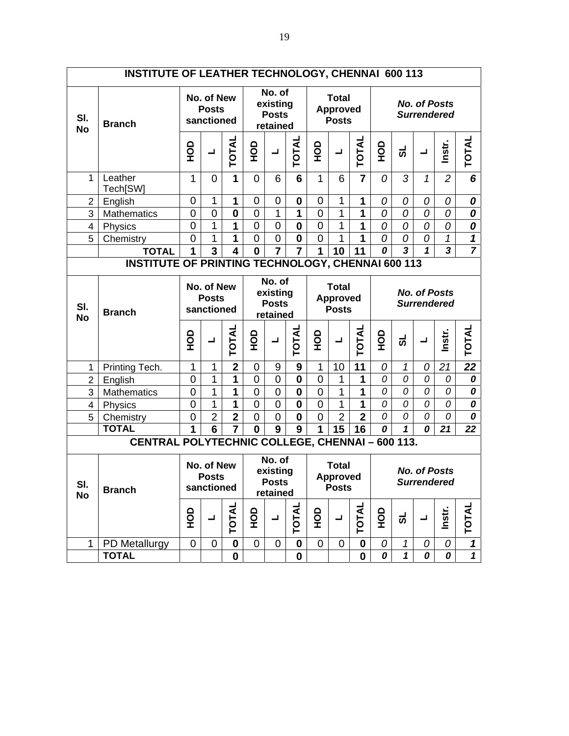|                  | <b>INSTITUTE OF LEATHER TECHNOLOGY, CHENNAI 600 113</b>  |                |                                          |                         |                  |                                                |                |                |                                                 |                |                     |                   |                     |                         |                                                       |
|------------------|----------------------------------------------------------|----------------|------------------------------------------|-------------------------|------------------|------------------------------------------------|----------------|----------------|-------------------------------------------------|----------------|---------------------|-------------------|---------------------|-------------------------|-------------------------------------------------------|
| SI.<br><b>No</b> | <b>Branch</b>                                            |                | No. of New<br><b>Posts</b><br>sanctioned |                         |                  | No. of<br>existing<br><b>Posts</b><br>retained |                |                | <b>Total</b><br><b>Approved</b><br><b>Posts</b> |                |                     |                   | <b>No. of Posts</b> | <b>Surrendered</b>      |                                                       |
|                  |                                                          | <b>OCH</b>     | ᆜ                                        | TOTAL                   | <b>OH</b>        | $\blacksquare$                                 | TOTAL          | <b>OH</b>      | $\blacksquare$                                  | TOTAL          | OH                  | ಕ                 | コ                   | Instr.                  | TOTAL                                                 |
| 1                | Leather<br>Tech[SW]                                      | $\mathbf{1}$   | $\mathbf 0$                              | 1                       | $\overline{0}$   | 6                                              | 6              | $\mathbf{1}$   | 6                                               | $\overline{7}$ | 0                   | 3                 | 1                   | $\overline{2}$          | 6                                                     |
| $\overline{2}$   | English                                                  | $\mathbf 0$    | 1                                        | 1                       | 0                | 0                                              | 0              | 0              | 1                                               | 1              | 0                   | 0                 | 0                   | 0                       | 0                                                     |
| 3                | Mathematics                                              | $\mathbf 0$    | $\mathbf 0$                              | $\bf{0}$                | $\mathbf 0$      | 1                                              | 1              | $\mathbf 0$    | 1                                               | 1              | 0                   | 0                 | 0                   | 0                       | 0                                                     |
| $\overline{4}$   | Physics                                                  | $\overline{0}$ | 1                                        | 1                       | $\mathbf 0$      | $\mathbf 0$                                    | $\mathbf 0$    | $\mathbf 0$    | 1                                               | 1              | 0                   | 0                 | 0                   | 0                       | 0                                                     |
| 5                | Chemistry                                                | 0              | 1                                        | 1                       | $\mathbf 0$      | $\mathbf 0$                                    | $\mathbf 0$    | $\overline{0}$ | 1                                               | 1              | 0                   | 0                 | 0                   | 1                       | $\mathbf 1$                                           |
|                  | <b>TOTAL</b>                                             | 1              | 3                                        | $\overline{\mathbf{4}}$ | $\bf{0}$         | $\overline{7}$                                 | $\overline{7}$ | 1              | 10                                              | 11             | 0                   | 3                 | 1                   | $\overline{\mathbf{3}}$ |                                                       |
|                  | <b>INSTITUTE OF PRINTING TECHNOLOGY, CHENNAI 600 113</b> |                |                                          |                         |                  |                                                |                |                |                                                 |                |                     |                   |                     |                         |                                                       |
| SI.              | <b>Branch</b>                                            |                | No. of New<br><b>Posts</b><br>sanctioned |                         |                  | No. of<br>existing<br><b>Posts</b>             |                |                | <b>Total</b><br><b>Approved</b><br><b>Posts</b> |                |                     |                   | <b>No. of Posts</b> | <b>Surrendered</b>      |                                                       |
| <b>No</b>        |                                                          |                |                                          |                         |                  | retained                                       |                |                |                                                 |                |                     |                   |                     |                         |                                                       |
|                  |                                                          | Δ<br>오         | ᆜ                                        | <b>TOTAL</b>            | ≏<br>오           | ᆜ                                              | <b>TOTAL</b>   | ≏<br>오         | $\blacksquare$                                  | <b>TOTAL</b>   | ≏<br>$\overline{5}$ | ಕ                 | ┙                   | Instr.                  | TOTAL                                                 |
| 1                |                                                          | $\mathbf{1}$   | 1                                        | $\overline{2}$          | 0                | 9                                              | 9              | 1              | 10                                              | 11             | 0                   | 1                 | 0                   | 21                      | 22                                                    |
| $\overline{2}$   | Printing Tech.<br>English                                | $\mathbf 0$    | 1                                        | 1                       | 0                | $\mathbf 0$                                    | $\mathbf 0$    | 0              | 1                                               | 1              | 0                   | 0                 | 0                   | 0                       | 0                                                     |
| 3                | Mathematics                                              | $\mathbf 0$    | 1                                        | 1                       | $\mathbf 0$      | $\boldsymbol{0}$                               | $\mathbf 0$    | $\mathbf 0$    | 1                                               | 1              | 0                   | 0                 | 0                   | 0                       | 0                                                     |
| $\overline{4}$   | Physics                                                  | $\overline{0}$ | 1                                        | 1                       | $\mathbf 0$      | $\mathbf 0$                                    | $\bf{0}$       | $\mathbf 0$    | 1                                               | 1              | 0                   | 0                 | 0                   | 0                       | 0                                                     |
| 5                | Chemistry                                                | 0              | $\overline{2}$                           | $\overline{2}$          | $\boldsymbol{0}$ | $\mathbf 0$                                    | $\mathbf 0$    | $\overline{0}$ | $\overline{2}$                                  | $\overline{2}$ | 0                   | 0                 | 0                   | 0                       | 0                                                     |
|                  | <b>TOTAL</b>                                             | 1              | 6                                        | $\overline{7}$          | $\bf{0}$         | 9                                              | 9              | 1              | 15                                              | 16             | 0                   | $\mathbf 1$       | 0                   | 21                      | 22                                                    |
|                  | CENTRAL POLYTECHNIC COLLEGE, CHENNAI - 600 113.          |                |                                          |                         |                  |                                                |                |                |                                                 |                |                     |                   |                     |                         |                                                       |
| SI.              | <b>Branch</b>                                            |                | No. of New<br><b>Posts</b><br>sanctioned |                         |                  | No. of<br>existing<br><b>Posts</b><br>retained |                |                | <b>Total</b><br><b>Approved</b><br><b>Posts</b> |                |                     |                   | <b>No. of Posts</b> | <b>Surrendered</b>      |                                                       |
| <b>No</b>        |                                                          | <b>ОР</b>      | ᆜ                                        | <b>TOTAL</b>            | <b>OH</b>        | ᆜ                                              | <b>TOTAL</b>   | 9DH            | ᆜ                                               | <b>TOTAL</b>   | <b>OCH</b>          | ಕ                 | ┙                   | Instr.                  | <b>TOTAL</b>                                          |
| $\mathbf{1}$     | PD Metallurgy<br><b>TOTAL</b>                            | $\mathbf 0$    | $\mathbf 0$                              | $\bf{0}$<br>$\mathbf 0$ | $\mathbf 0$      | 0                                              | $\pmb{0}$      | $\overline{0}$ | 0                                               | $\mathbf 0$    | 0<br>0              | 1<br>$\mathbf{1}$ | 0<br>0              | 0<br>0                  | $\boldsymbol{\mathcal{L}}$<br>$\overline{\mathbf{1}}$ |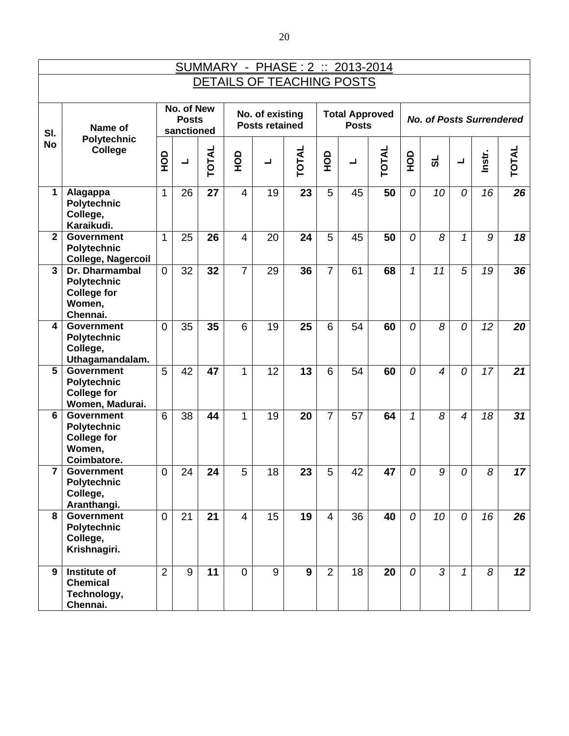|                           | <u>SUMMARY - PHASE: 2 :: 2013-2014</u>                                                  |                |                                          |       |                |                                          |              |                |                                       |              |            |                                 |                          |        |                 |
|---------------------------|-----------------------------------------------------------------------------------------|----------------|------------------------------------------|-------|----------------|------------------------------------------|--------------|----------------|---------------------------------------|--------------|------------|---------------------------------|--------------------------|--------|-----------------|
| DETAILS OF TEACHING POSTS |                                                                                         |                |                                          |       |                |                                          |              |                |                                       |              |            |                                 |                          |        |                 |
| SI.                       | Name of                                                                                 |                | No. of New<br><b>Posts</b><br>sanctioned |       |                | No. of existing<br><b>Posts retained</b> |              |                | <b>Total Approved</b><br><b>Posts</b> |              |            | <b>No. of Posts Surrendered</b> |                          |        |                 |
| <b>No</b>                 | <b>Polytechnic</b><br><b>College</b>                                                    | OOH            | $\overline{\phantom{0}}$                 | TOTAL | <b>OCH</b>     | $\overline{\phantom{0}}$                 | <b>TOTAL</b> | OPH            | $\blacksquare$                        | <b>TOTAL</b> | <b>OCH</b> | ಹ                               | $\overline{\phantom{a}}$ | Instr. | <b>TOTAL</b>    |
| 1                         | Alagappa<br><b>Polytechnic</b><br>College,<br>Karaikudi.                                | 1              | 26                                       | 27    | $\overline{4}$ | 19                                       | 23           | 5              | 45                                    | 50           | 0          | 10                              | 0                        | 16     | 26              |
| $\mathbf{2}$              | <b>Government</b><br><b>Polytechnic</b><br>College, Nagercoil                           | 1              | 25                                       | 26    | $\overline{4}$ | 20                                       | 24           | 5              | 45                                    | 50           | 0          | 8                               | 1                        | 9      | 18              |
| 3                         | <b>Dr. Dharmambal</b><br><b>Polytechnic</b><br><b>College for</b><br>Women,<br>Chennai. | $\overline{0}$ | 32                                       | 32    | $\overline{7}$ | 29                                       | 36           | 7              | 61                                    | 68           | 1          | 11                              | 5                        | 19     | 36              |
| 4                         | <b>Government</b><br>Polytechnic<br>College,<br>Uthagamandalam.                         | 0              | 35                                       | 35    | 6              | 19                                       | 25           | 6              | 54                                    | 60           | 0          | 8                               | 0                        | 12     | 20              |
| 5                         | <b>Government</b><br><b>Polytechnic</b><br><b>College for</b><br>Women, Madurai.        | 5              | 42                                       | 47    | 1              | 12                                       | 13           | 6              | 54                                    | 60           | 0          | $\overline{\mathcal{A}}$        | 0                        | 17     | 21              |
| 6                         | <b>Government</b><br><b>Polytechnic</b><br><b>College for</b><br>Women,<br>Coimbatore.  | 6              | 38                                       | 44    | 1              | 19                                       | 20           | $\overline{7}$ | 57                                    | 64           | 1          | 8                               | $\overline{4}$           | 18     | 31              |
| $\overline{\mathbf{r}}$   | <b>Government</b><br><b>Polytechnic</b><br>College,<br>Aranthangi.                      | $\mathbf 0$    | 24                                       | 24    | 5              | 18                                       | 23           | 5              | 42                                    | 47           | 0          | 9                               | 0                        | 8      | 17              |
| 8                         | <b>Government</b><br><b>Polytechnic</b><br>College,<br>Krishnagiri.                     | $\overline{0}$ | 21                                       | 21    | $\overline{4}$ | 15                                       | 19           | $\overline{4}$ | 36                                    | 40           | 0          | 10                              | $\overline{O}$           | 16     | 26              |
| 9                         | Institute of<br><b>Chemical</b><br>Technology,<br>Chennai.                              | $\overline{2}$ | 9                                        | 11    | $\overline{0}$ | 9                                        | 9            | $\overline{2}$ | 18                                    | 20           | 0          | $\overline{3}$                  | $\mathcal I$             | 8      | 12 <sub>2</sub> |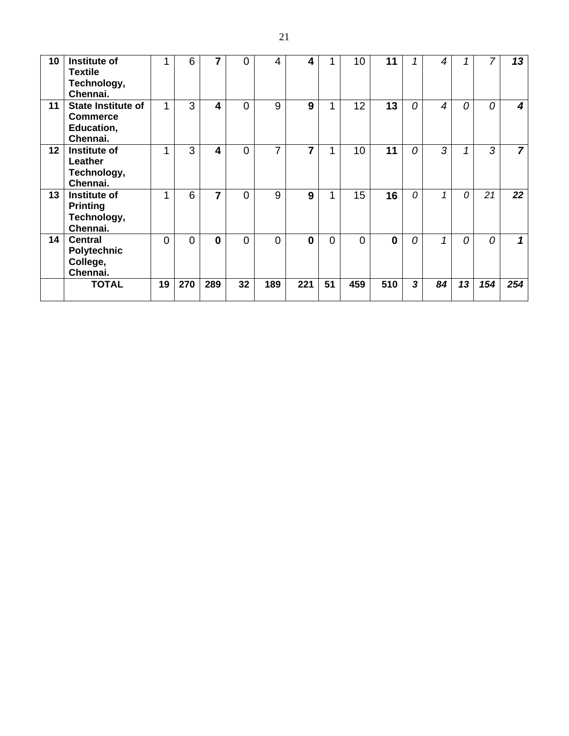| 10 | Institute of<br><b>Textile</b><br>Technology,<br>Chennai.              |          | 6   | 7   | 0  | 4        | 4        |    | 10 <sup>1</sup> | 11       |                | 4              | 1        | 7   | 13             |
|----|------------------------------------------------------------------------|----------|-----|-----|----|----------|----------|----|-----------------|----------|----------------|----------------|----------|-----|----------------|
| 11 | <b>State Institute of</b><br><b>Commerce</b><br>Education,<br>Chennai. |          | 3   | 4   | 0  | 9        | 9        |    | 12              | 13       | 0              | $\overline{4}$ | 0        | 0   | 4              |
| 12 | Institute of<br>Leather<br>Technology,<br>Chennai.                     | ◢        | 3   | 4   | 0  | 7        | 7        |    | 10              | 11       | 0              | 3              | 1        | 3   | $\overline{7}$ |
| 13 | Institute of<br><b>Printing</b><br>Technology,<br>Chennai.             | ۸        | 6   | 7   | 0  | 9        | 9        |    | 15              | 16       | $\Omega$       | 1              | $\Omega$ | 21  | 22             |
| 14 | <b>Central</b><br>Polytechnic<br>College,<br>Chennai.                  | $\Omega$ | 0   | U   | 0  | $\Omega$ | $\bf{0}$ | 0  | $\Omega$        | $\bf{0}$ | $\overline{O}$ | $\overline{1}$ | $\Omega$ | 0   | 1              |
|    | <b>TOTAL</b>                                                           | 19       | 270 | 289 | 32 | 189      | 221      | 51 | 459             | 510      | 3              | 84             | 13       | 154 | 254            |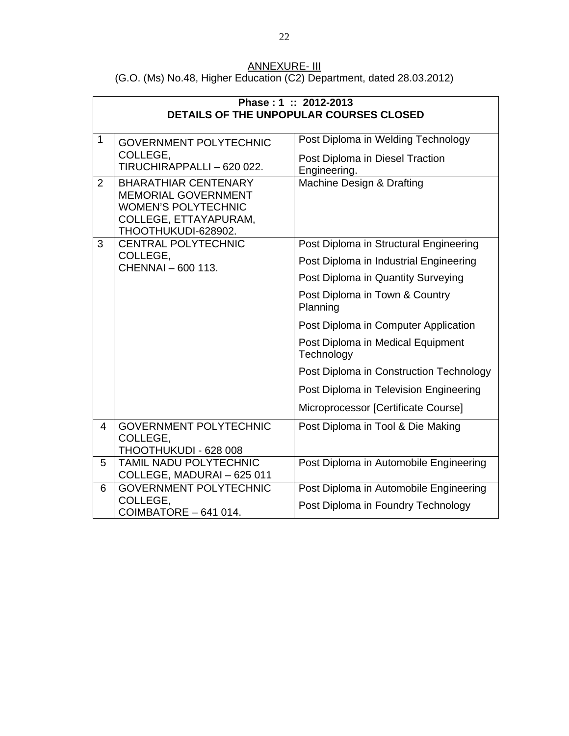| ANNEXURE- III                                                         |
|-----------------------------------------------------------------------|
| (G.O. (Ms) No.48, Higher Education (C2) Department, dated 28.03.2012) |

|                |                                                                                                                                         | Phase: 1: 2012-2013                                                                   |
|----------------|-----------------------------------------------------------------------------------------------------------------------------------------|---------------------------------------------------------------------------------------|
|                |                                                                                                                                         | DETAILS OF THE UNPOPULAR COURSES CLOSED                                               |
| $\mathbf{1}$   | <b>GOVERNMENT POLYTECHNIC</b><br>COLLEGE,<br>TIRUCHIRAPPALLI - 620 022.                                                                 | Post Diploma in Welding Technology<br>Post Diploma in Diesel Traction<br>Engineering. |
| $\overline{2}$ | <b>BHARATHIAR CENTENARY</b><br><b>MEMORIAL GOVERNMENT</b><br><b>WOMEN'S POLYTECHNIC</b><br>COLLEGE, ETTAYAPURAM,<br>THOOTHUKUDI-628902. | Machine Design & Drafting                                                             |
| 3              | <b>CENTRAL POLYTECHNIC</b>                                                                                                              | Post Diploma in Structural Engineering                                                |
|                | COLLEGE,<br>CHENNAI - 600 113.                                                                                                          | Post Diploma in Industrial Engineering                                                |
|                |                                                                                                                                         | Post Diploma in Quantity Surveying                                                    |
|                |                                                                                                                                         | Post Diploma in Town & Country<br>Planning                                            |
|                |                                                                                                                                         | Post Diploma in Computer Application                                                  |
|                |                                                                                                                                         | Post Diploma in Medical Equipment<br>Technology                                       |
|                |                                                                                                                                         | Post Diploma in Construction Technology                                               |
|                |                                                                                                                                         | Post Diploma in Television Engineering                                                |
|                |                                                                                                                                         | Microprocessor [Certificate Course]                                                   |
| $\overline{4}$ | <b>GOVERNMENT POLYTECHNIC</b><br>COLLEGE,<br>THOOTHUKUDI - 628 008                                                                      | Post Diploma in Tool & Die Making                                                     |
| 5              | <b>TAMIL NADU POLYTECHNIC</b><br>COLLEGE, MADURAI - 625 011                                                                             | Post Diploma in Automobile Engineering                                                |
| 6              | <b>GOVERNMENT POLYTECHNIC</b>                                                                                                           | Post Diploma in Automobile Engineering                                                |
|                | COLLEGE,<br>COIMBATORE - 641 014.                                                                                                       | Post Diploma in Foundry Technology                                                    |